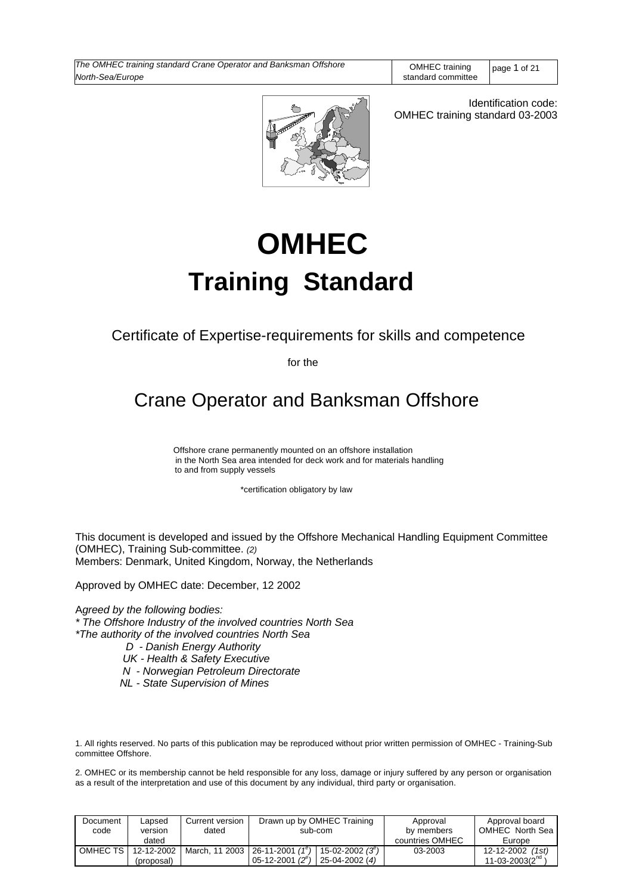

Identification code: OMHEC training standard 03-2003

# **OMHEC Training Standard**

Certificate of Expertise-requirements for skills and competence

for the

Crane Operator and Banksman Offshore

 Offshore crane permanently mounted on an offshore installation in the North Sea area intended for deck work and for materials handling to and from supply vessels

\*certification obligatory by law

This document is developed and issued by the Offshore Mechanical Handling Equipment Committee (OMHEC), Training Sub-committee. *(2)* Members: Denmark, United Kingdom, Norway, the Netherlands

Approved by OMHEC date: December, 12 2002

A*greed by the following bodies: \* The Offshore Industry of the involved countries North Sea \*The authority of the involved countries North Sea D - Danish Energy Authority*

- 
- *UK Health & Safety Executive*
- *N Norwegian Petroleum Directorate*
- *NL State Supervision of Mines*

1. All rights reserved. No parts of this publication may be reproduced without prior written permission of OMHEC - Training-Sub committee Offshore.

2. OMHEC or its membership cannot be held responsible for any loss, damage or injury suffered by any person or organisation as a result of the interpretation and use of this document by any individual, third party or organisation.

| Document<br>code | Lapsed<br>version | Current version<br>dated | Drawn up by OMHEC Training<br>sub-com                                | Approval<br>by members | Approval board<br>OMHEC North Sea |
|------------------|-------------------|--------------------------|----------------------------------------------------------------------|------------------------|-----------------------------------|
|                  | dated             |                          |                                                                      | countries OMHEC        | Europe                            |
| OMHEC TS I       | 12-12-2002        |                          | March, 11 2003   26-11-2001 $(1^e)$  <br>$15 - 02 - 2002(3^{\circ})$ | 03-2003                | 12-12-2002<br>(1st)               |
|                  | (proposal)        |                          | $05-12-2001(2^e)$<br>$25-04-2002(4)$                                 |                        | $11 - 03 - 2003(2na$              |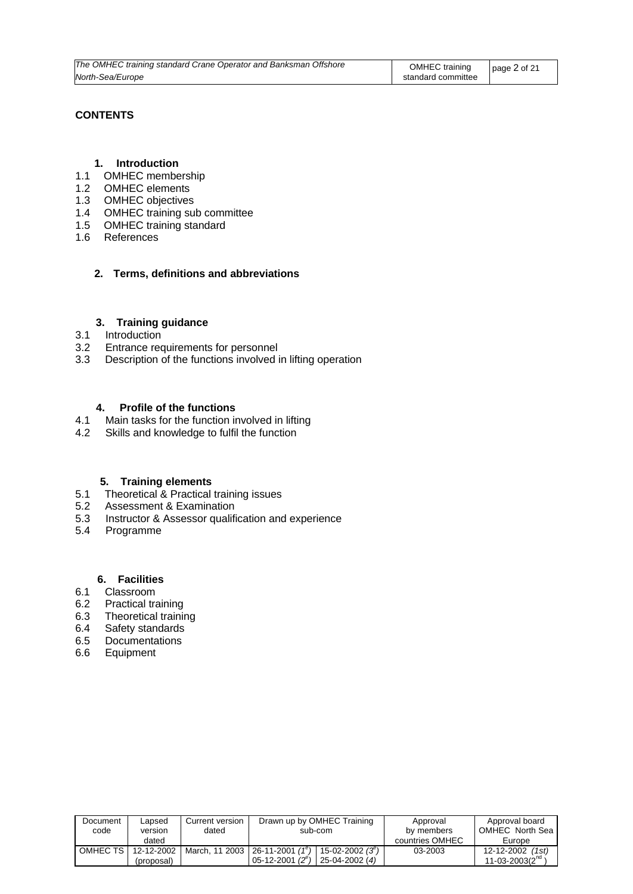| The OMHEC training standard Crane Operator and Banksman Offshore | <b>OMHEC</b> training | page $2$ of $21$ |
|------------------------------------------------------------------|-----------------------|------------------|
| North-Sea/Europe                                                 | standard committee    |                  |

### **CONTENTS**

### **1. Introduction**

- 1.1 OMHEC membership
- 1.2 OMHEC elements
- 1.3 OMHEC objectives
- 1.4 OMHEC training sub committee
- 1.5 OMHEC training standard
- 1.6 References

### **2. Terms, definitions and abbreviations**

### **3. Training guidance**

- 3.1 Introduction
- 3.2 Entrance requirements for personnel
- 3.3 Description of the functions involved in lifting operation

### **4. Profile of the functions**

- 4.1 Main tasks for the function involved in lifting
- 4.2 Skills and knowledge to fulfil the function

### **5. Training elements**

- 5.1Theoretical & Practical training issues
- 5.2 Assessment & Examination
- 5.3 Instructor & Assessor qualification and experience
- 5.4 Programme

## **6. Facilities**<br>6.1 Classroom

- **Classroom**
- 6.2 Practical training
- 6.3 Theoretical training
- 6.4 Safety standards
- 6.5 Documentations
- 6.6 Equipment

| Document<br>code | Lapsed<br>version<br>dated | Current version<br>dated | Drawn up by OMHEC Training<br>sub-com                                                             | Approval<br>by members<br>countries OMHEC | Approval board<br>OMHEC North Sea<br>Europe       |
|------------------|----------------------------|--------------------------|---------------------------------------------------------------------------------------------------|-------------------------------------------|---------------------------------------------------|
| OMHEC TS I       | 12-12-2002<br>(proposal)   |                          | March, 11 2003   26-11-2001 $(1^e)$<br>15-02-2002 $(3^e)$<br>05-12-2001 $(2^e)$<br>25-04-2002 (4) | 03-2003                                   | 12-12-2002 (1st)<br>11-03-2003( $2^{\text{na}}$ ) |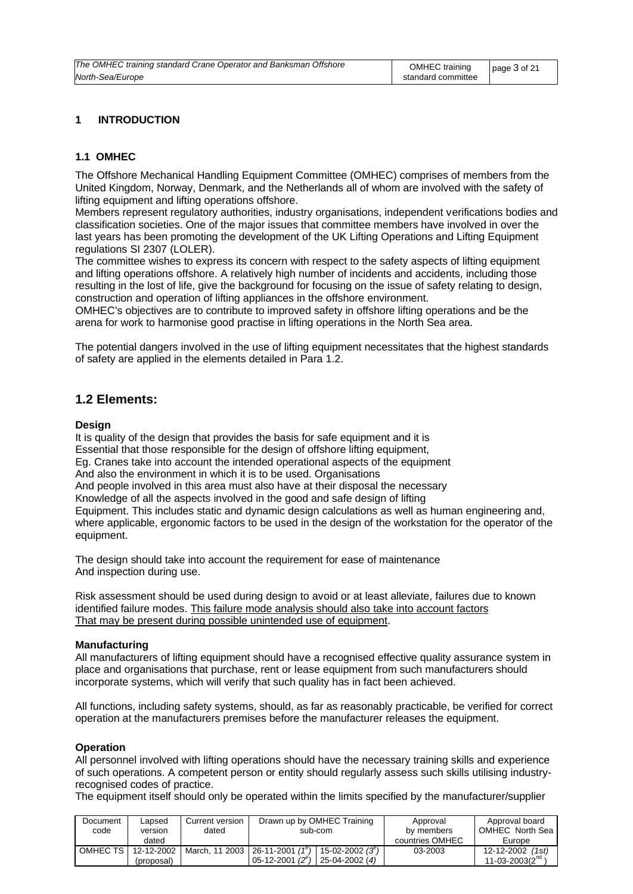### **1 INTRODUCTION**

### **1.1 OMHEC**

The Offshore Mechanical Handling Equipment Committee (OMHEC) comprises of members from the United Kingdom, Norway, Denmark, and the Netherlands all of whom are involved with the safety of lifting equipment and lifting operations offshore.

Members represent regulatory authorities, industry organisations, independent verifications bodies and classification societies. One of the major issues that committee members have involved in over the last years has been promoting the development of the UK Lifting Operations and Lifting Equipment regulations SI 2307 (LOLER).

The committee wishes to express its concern with respect to the safety aspects of lifting equipment and lifting operations offshore. A relatively high number of incidents and accidents, including those resulting in the lost of life, give the background for focusing on the issue of safety relating to design, construction and operation of lifting appliances in the offshore environment.

OMHEC's objectives are to contribute to improved safety in offshore lifting operations and be the arena for work to harmonise good practise in lifting operations in the North Sea area.

The potential dangers involved in the use of lifting equipment necessitates that the highest standards of safety are applied in the elements detailed in Para 1.2.

### **1.2 Elements:**

### **Design**

It is quality of the design that provides the basis for safe equipment and it is Essential that those responsible for the design of offshore lifting equipment, Eg. Cranes take into account the intended operational aspects of the equipment And also the environment in which it is to be used. Organisations And people involved in this area must also have at their disposal the necessary Knowledge of all the aspects involved in the good and safe design of lifting Equipment. This includes static and dynamic design calculations as well as human engineering and, where applicable, ergonomic factors to be used in the design of the workstation for the operator of the equipment.

The design should take into account the requirement for ease of maintenance And inspection during use.

Risk assessment should be used during design to avoid or at least alleviate, failures due to known identified failure modes. This failure mode analysis should also take into account factors That may be present during possible unintended use of equipment.

### **Manufacturing**

All manufacturers of lifting equipment should have a recognised effective quality assurance system in place and organisations that purchase, rent or lease equipment from such manufacturers should incorporate systems, which will verify that such quality has in fact been achieved.

All functions, including safety systems, should, as far as reasonably practicable, be verified for correct operation at the manufacturers premises before the manufacturer releases the equipment.

### **Operation**

All personnel involved with lifting operations should have the necessary training skills and experience of such operations. A competent person or entity should regularly assess such skills utilising industryrecognised codes of practice.

The equipment itself should only be operated within the limits specified by the manufacturer/supplier

| Document<br>code | Lapsed<br>version | Current version<br>dated | Drawn up by OMHEC Training<br>sub-com |                    | Approval<br>by members | Approval board<br>OMHEC North Sea |
|------------------|-------------------|--------------------------|---------------------------------------|--------------------|------------------------|-----------------------------------|
|                  | dated             |                          |                                       |                    | countries OMHEC        | Europe                            |
| OMHEC TS         | 12-12-2002        |                          | March, 11 2003   26-11-2001 $(1^e)$   | 15-02-2002 $(3^e)$ | 03-2003                | 12-12-2002<br>(1st)               |
|                  | (proposal)        |                          | 05-12-2001 $(2^e)$                    | 25-04-2002 (4)     |                        | 11-03-2003 $(2^{na}$              |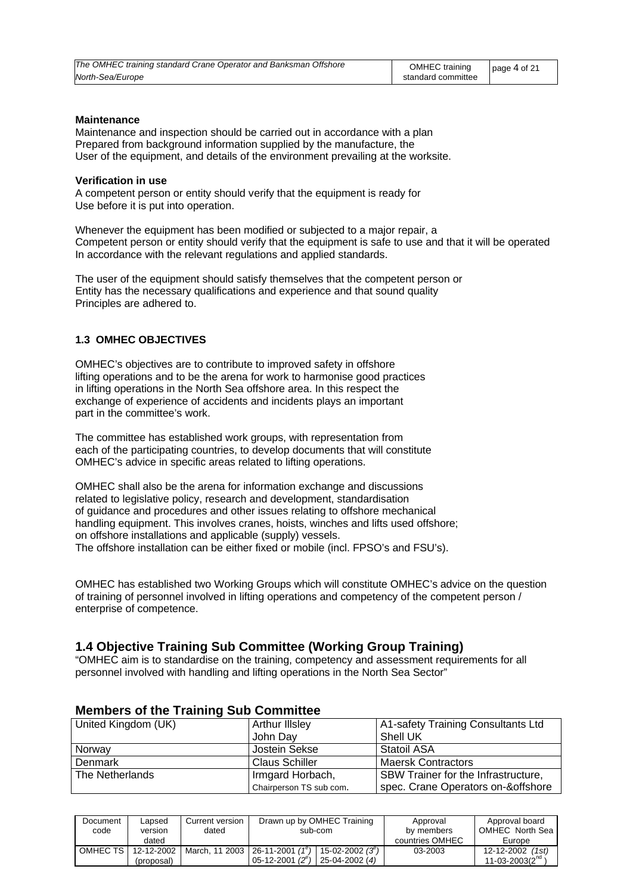| The OMHEC training standard Crane Operator and Banksman Offshore | OMHEC training     | page $4$ of 21 |
|------------------------------------------------------------------|--------------------|----------------|
| North-Sea/Europe                                                 | standard committee |                |

### **Maintenance**

Maintenance and inspection should be carried out in accordance with a plan Prepared from background information supplied by the manufacture, the User of the equipment, and details of the environment prevailing at the worksite.

#### **Verification in use**

A competent person or entity should verify that the equipment is ready for Use before it is put into operation.

Whenever the equipment has been modified or subjected to a major repair, a Competent person or entity should verify that the equipment is safe to use and that it will be operated In accordance with the relevant regulations and applied standards.

The user of the equipment should satisfy themselves that the competent person or Entity has the necessary qualifications and experience and that sound quality Principles are adhered to.

### **1.3 OMHEC OBJECTIVES**

OMHEC's objectives are to contribute to improved safety in offshore lifting operations and to be the arena for work to harmonise good practices in lifting operations in the North Sea offshore area. In this respect the exchange of experience of accidents and incidents plays an important part in the committee's work.

The committee has established work groups, with representation from each of the participating countries, to develop documents that will constitute OMHEC's advice in specific areas related to lifting operations.

OMHEC shall also be the arena for information exchange and discussions related to legislative policy, research and development, standardisation of guidance and procedures and other issues relating to offshore mechanical handling equipment. This involves cranes, hoists, winches and lifts used offshore; on offshore installations and applicable (supply) vessels. The offshore installation can be either fixed or mobile (incl. FPSO's and FSU's).

OMHEC has established two Working Groups which will constitute OMHEC's advice on the question of training of personnel involved in lifting operations and competency of the competent person / enterprise of competence.

### **1.4 Objective Training Sub Committee (Working Group Training)**

"OMHEC aim is to standardise on the training, competency and assessment requirements for all personnel involved with handling and lifting operations in the North Sea Sector"

| United Kingdom (UK) | <b>Arthur Illsley</b>   | A1-safety Training Consultants Ltd  |
|---------------------|-------------------------|-------------------------------------|
|                     | John Day                | Shell UK                            |
| Norway              | Jostein Sekse           | <b>Statoil ASA</b>                  |
| Denmark             | <b>Claus Schiller</b>   | <b>Maersk Contractors</b>           |
| The Netherlands     | Irmgard Horbach,        | SBW Trainer for the Infrastructure, |
|                     | Chairperson TS sub com. | spec. Crane Operators on-&offshore  |

### **Members of the Training Sub Committee**

| Document<br>code | Lapsed<br>version<br>dated | Current version<br>dated | Drawn up by OMHEC Training<br>sub-com                                                             | Approval<br>by members<br>countries OMHEC | Approval board<br>OMHEC North Sea<br>Europe |
|------------------|----------------------------|--------------------------|---------------------------------------------------------------------------------------------------|-------------------------------------------|---------------------------------------------|
| OMHEC TS         | 12-12-2002<br>(proposal)   |                          | March, 11 2003   26-11-2001 $(1^e)$   15-02-2002 $(3^e)$<br>05-12-2001 $(2^e)$<br>$25-04-2002(4)$ | 03-2003                                   | 12-12-2002 (1st)<br>$11 - 03 - 2003(211)$   |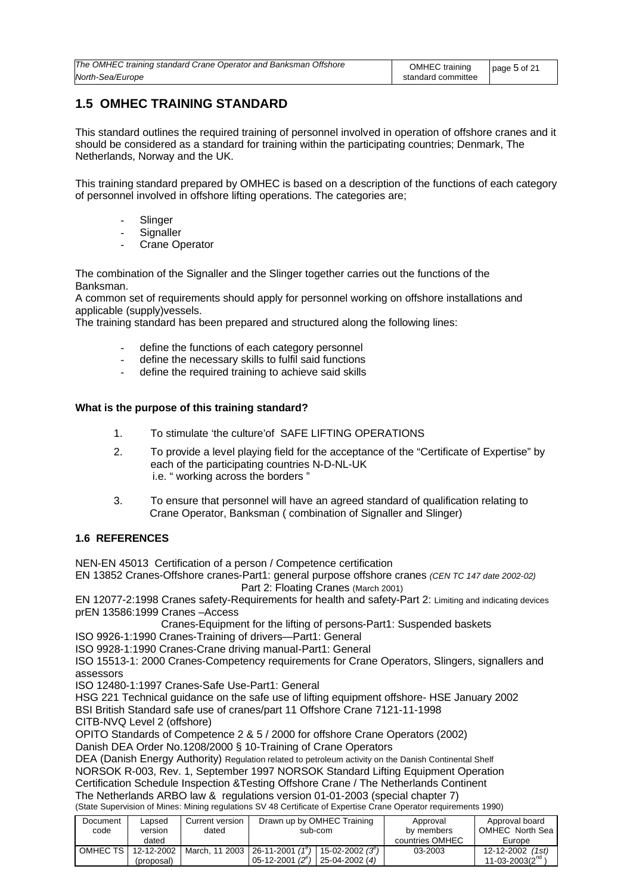| The OMHEC training standard Crane Operator and Banksman Offshore | OMHEC training   page 5 of 21 |  |
|------------------------------------------------------------------|-------------------------------|--|
| North-Sea/Europe                                                 | standard committee            |  |

### **1.5 OMHEC TRAINING STANDARD**

This standard outlines the required training of personnel involved in operation of offshore cranes and it should be considered as a standard for training within the participating countries; Denmark, The Netherlands, Norway and the UK.

This training standard prepared by OMHEC is based on a description of the functions of each category of personnel involved in offshore lifting operations. The categories are;

- **Slinger**
- **Signaller**
- **Crane Operator**

The combination of the Signaller and the Slinger together carries out the functions of the Banksman.

A common set of requirements should apply for personnel working on offshore installations and applicable (supply)vessels.

The training standard has been prepared and structured along the following lines:

- define the functions of each category personnel
- define the necessary skills to fulfil said functions
- define the required training to achieve said skills

### **What is the purpose of this training standard?**

- 1. To stimulate 'the culture'of SAFE LIFTING OPERATIONS
- 2. To provide a level playing field for the acceptance of the "Certificate of Expertise" by each of the participating countries N-D-NL-UK i.e. " working across the borders "
- 3. To ensure that personnel will have an agreed standard of qualification relating to Crane Operator, Banksman ( combination of Signaller and Slinger)

### **1.6 REFERENCES**

NEN-EN 45013 Certification of a person / Competence certification

EN 13852 Cranes-Offshore cranes-Part1: general purpose offshore cranes *(CEN TC 147 date 2002-02)* Part 2: Floating Cranes (March 2001)

EN 12077-2:1998 Cranes safety-Requirements for health and safety-Part 2: Limiting and indicating devices prEN 13586:1999 Cranes –Access

Cranes-Equipment for the lifting of persons-Part1: Suspended baskets

ISO 9926-1:1990 Cranes-Training of drivers—Part1: General

ISO 9928-1:1990 Cranes-Crane driving manual-Part1: General

ISO 15513-1: 2000 Cranes-Competency requirements for Crane Operators, Slingers, signallers and assessors

ISO 12480-1:1997 Cranes-Safe Use-Part1: General

HSG 221 Technical guidance on the safe use of lifting equipment offshore- HSE January 2002 BSI British Standard safe use of cranes/part 11 Offshore Crane 7121-11-1998

CITB-NVQ Level 2 (offshore)

OPITO Standards of Competence 2 & 5 / 2000 for offshore Crane Operators (2002) Danish DEA Order No.1208/2000 § 10-Training of Crane Operators

DEA (Danish Energy Authority) Regulation related to petroleum activity on the Danish Continental Shelf NORSOK R-003, Rev. 1, September 1997 NORSOK Standard Lifting Equipment Operation Certification Schedule Inspection &Testing Offshore Crane / The Netherlands Continent The Netherlands ARBO law & regulations version 01-01-2003 (special chapter 7) (State Supervision of Mines: Mining regulations SV 48 Certificate of Expertise Crane Operator requirements 1990)

| Document<br>code | ∟apsed<br>version<br>dated | Current version<br>dated | Drawn up by OMHEC Training<br>sub-com                                           | Approval<br>by members<br>countries OMHEC | Approval board<br>OMHEC North Sea<br>Europe |
|------------------|----------------------------|--------------------------|---------------------------------------------------------------------------------|-------------------------------------------|---------------------------------------------|
| OMHEC TS         | 12-12-2002<br>(proposal)   | March. 11 2003           | $26-11-2001(1^e)$<br>15-02-2002 $(3^e)$<br>05-12-2001 $(2^e)$<br>25-04-2002 (4) | 03-2003                                   | 12-12-2002<br>(1st)<br>$11 - 03 - 2003(2na$ |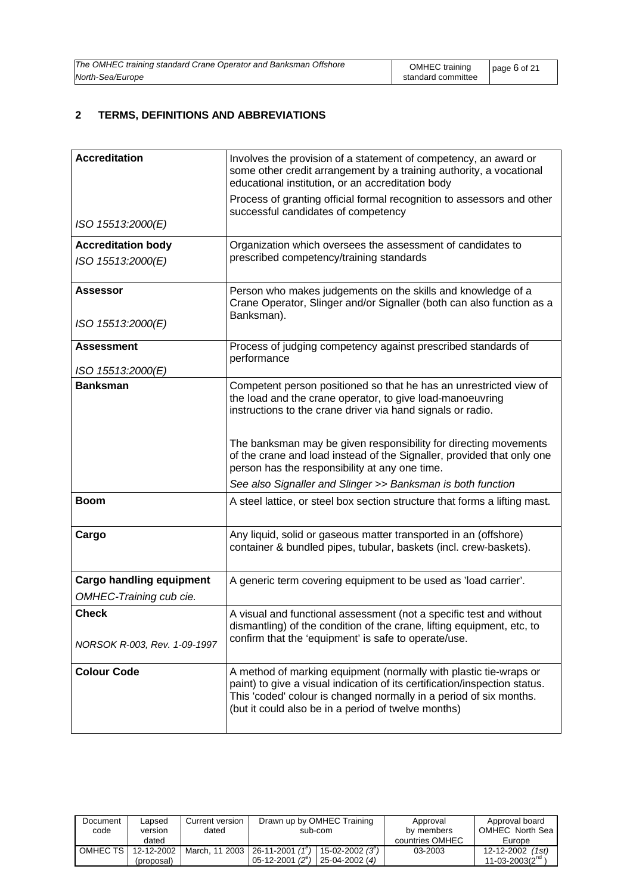| The OMHEC training standard Crane Operator and Banksman Offshore | OMHEC training     | page $6$ of 21 |
|------------------------------------------------------------------|--------------------|----------------|
| North-Sea/Europe                                                 | standard committee |                |

### **2 TERMS, DEFINITIONS AND ABBREVIATIONS**

| <b>Accreditation</b>                                       | Involves the provision of a statement of competency, an award or<br>some other credit arrangement by a training authority, a vocational<br>educational institution, or an accreditation body                                                                                 |
|------------------------------------------------------------|------------------------------------------------------------------------------------------------------------------------------------------------------------------------------------------------------------------------------------------------------------------------------|
| ISO 15513:2000(E)                                          | Process of granting official formal recognition to assessors and other<br>successful candidates of competency                                                                                                                                                                |
|                                                            |                                                                                                                                                                                                                                                                              |
| <b>Accreditation body</b><br>ISO 15513:2000(E)             | Organization which oversees the assessment of candidates to<br>prescribed competency/training standards                                                                                                                                                                      |
| <b>Assessor</b><br>ISO 15513:2000(E)                       | Person who makes judgements on the skills and knowledge of a<br>Crane Operator, Slinger and/or Signaller (both can also function as a<br>Banksman).                                                                                                                          |
| <b>Assessment</b><br>ISO 15513:2000(E)                     | Process of judging competency against prescribed standards of<br>performance                                                                                                                                                                                                 |
| <b>Banksman</b>                                            | Competent person positioned so that he has an unrestricted view of<br>the load and the crane operator, to give load-manoeuvring<br>instructions to the crane driver via hand signals or radio.<br>The banksman may be given responsibility for directing movements           |
|                                                            | of the crane and load instead of the Signaller, provided that only one<br>person has the responsibility at any one time.                                                                                                                                                     |
|                                                            | See also Signaller and Slinger >> Banksman is both function                                                                                                                                                                                                                  |
| <b>Boom</b>                                                | A steel lattice, or steel box section structure that forms a lifting mast.                                                                                                                                                                                                   |
| Cargo                                                      | Any liquid, solid or gaseous matter transported in an (offshore)<br>container & bundled pipes, tubular, baskets (incl. crew-baskets).                                                                                                                                        |
| <b>Cargo handling equipment</b><br>OMHEC-Training cub cie. | A generic term covering equipment to be used as 'load carrier'.                                                                                                                                                                                                              |
| <b>Check</b><br>NORSOK R-003, Rev. 1-09-1997               | A visual and functional assessment (not a specific test and without<br>dismantling) of the condition of the crane, lifting equipment, etc, to<br>confirm that the 'equipment' is safe to operate/use.                                                                        |
|                                                            |                                                                                                                                                                                                                                                                              |
| <b>Colour Code</b>                                         | A method of marking equipment (normally with plastic tie-wraps or<br>paint) to give a visual indication of its certification/inspection status.<br>This 'coded' colour is changed normally in a period of six months.<br>(but it could also be in a period of twelve months) |

| Document<br>code | Lapsed<br>version | Current version<br>dated | Drawn up by OMHEC Training<br>sub-com       | Approval<br>by members | Approval board<br>OMHEC North Sea |
|------------------|-------------------|--------------------------|---------------------------------------------|------------------------|-----------------------------------|
|                  | dated             |                          |                                             | countries OMHEC        | Europe                            |
| OMHEC TS I       | 12-12-2002        | March, 11 2003           | 26-11-2001 $(1^e)$<br>$15 - 02 - 2002(3^e)$ | 03-2003                | 12-12-2002<br>(1st)               |
|                  | (proposal)        |                          | $05-12-2001(2^e)$<br>25-04-2002 (4)         |                        | $11 - 03 - 2003(211)$             |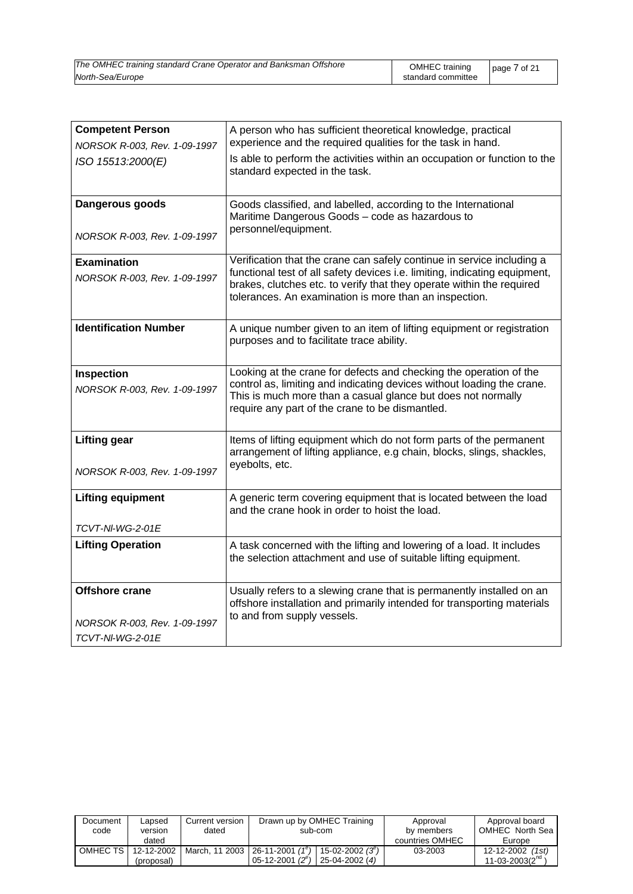| The OMHEC training standard Crane Operator and Banksman Offshore | OMHEC training     | page $7$ of 21 |  |
|------------------------------------------------------------------|--------------------|----------------|--|
| North-Sea/Europe                                                 | standard committee |                |  |

| <b>Competent Person</b>                             | A person who has sufficient theoretical knowledge, practical                                                                                                                                                                                                                            |
|-----------------------------------------------------|-----------------------------------------------------------------------------------------------------------------------------------------------------------------------------------------------------------------------------------------------------------------------------------------|
| NORSOK R-003, Rev. 1-09-1997                        | experience and the required qualities for the task in hand.                                                                                                                                                                                                                             |
| ISO 15513:2000(E)                                   | Is able to perform the activities within an occupation or function to the<br>standard expected in the task.                                                                                                                                                                             |
| Dangerous goods                                     | Goods classified, and labelled, according to the International<br>Maritime Dangerous Goods - code as hazardous to<br>personnel/equipment.                                                                                                                                               |
| NORSOK R-003, Rev. 1-09-1997                        |                                                                                                                                                                                                                                                                                         |
| <b>Examination</b><br>NORSOK R-003, Rev. 1-09-1997  | Verification that the crane can safely continue in service including a<br>functional test of all safety devices i.e. limiting, indicating equipment,<br>brakes, clutches etc. to verify that they operate within the required<br>tolerances. An examination is more than an inspection. |
| <b>Identification Number</b>                        | A unique number given to an item of lifting equipment or registration<br>purposes and to facilitate trace ability.                                                                                                                                                                      |
| Inspection<br>NORSOK R-003, Rev. 1-09-1997          | Looking at the crane for defects and checking the operation of the<br>control as, limiting and indicating devices without loading the crane.<br>This is much more than a casual glance but does not normally<br>require any part of the crane to be dismantled.                         |
| <b>Lifting gear</b><br>NORSOK R-003, Rev. 1-09-1997 | Items of lifting equipment which do not form parts of the permanent<br>arrangement of lifting appliance, e.g chain, blocks, slings, shackles,<br>eyebolts, etc.                                                                                                                         |
|                                                     |                                                                                                                                                                                                                                                                                         |
| <b>Lifting equipment</b>                            | A generic term covering equipment that is located between the load<br>and the crane hook in order to hoist the load.                                                                                                                                                                    |
| TCVT-NI-WG-2-01E                                    |                                                                                                                                                                                                                                                                                         |
| <b>Lifting Operation</b>                            | A task concerned with the lifting and lowering of a load. It includes<br>the selection attachment and use of suitable lifting equipment.                                                                                                                                                |
| Offshore crane                                      | Usually refers to a slewing crane that is permanently installed on an<br>offshore installation and primarily intended for transporting materials<br>to and from supply vessels.                                                                                                         |
| NORSOK R-003, Rev. 1-09-1997                        |                                                                                                                                                                                                                                                                                         |
| <b>TCVT-NI-WG-2-01E</b>                             |                                                                                                                                                                                                                                                                                         |

| Document<br>code | Lapsed<br>version | Current version<br>dated | Drawn up by OMHEC Training<br>sub-com                                 | Approval<br>by members | Approval board<br>OMHEC North Sea |
|------------------|-------------------|--------------------------|-----------------------------------------------------------------------|------------------------|-----------------------------------|
|                  | dated             |                          |                                                                       | countries OMHEC        | Europe                            |
| OMHEC TS I       | 12-12-2002        | March, 11 2003           | $\cdot$   26-11-2001 (1 $^{\circ}$ ) .<br>$15 - 02 - 2002(3^{\circ})$ | 03-2003                | 12-12-2002 (1st)                  |
|                  | (proposal)        |                          | $05-12-2001(2^e)$<br>25-04-2002 (4)                                   |                        | $11 - 03 - 2003(2na$              |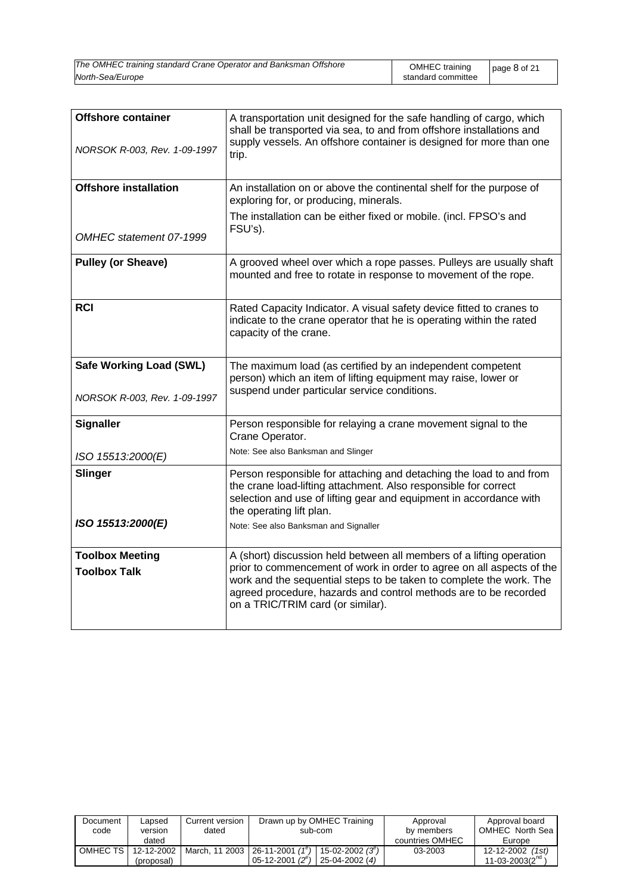| The OMHEC training standard Crane Operator and Banksman Offshore | OMHEC training     | page 8 of 21 |
|------------------------------------------------------------------|--------------------|--------------|
| North-Sea/Europe                                                 | standard committee |              |

| <b>Offshore container</b><br>NORSOK R-003, Rev. 1-09-1997      | A transportation unit designed for the safe handling of cargo, which<br>shall be transported via sea, to and from offshore installations and<br>supply vessels. An offshore container is designed for more than one<br>trip.                                                                                                  |
|----------------------------------------------------------------|-------------------------------------------------------------------------------------------------------------------------------------------------------------------------------------------------------------------------------------------------------------------------------------------------------------------------------|
| <b>Offshore installation</b>                                   | An installation on or above the continental shelf for the purpose of<br>exploring for, or producing, minerals.                                                                                                                                                                                                                |
| OMHEC statement 07-1999                                        | The installation can be either fixed or mobile. (incl. FPSO's and<br>FSU's).                                                                                                                                                                                                                                                  |
|                                                                |                                                                                                                                                                                                                                                                                                                               |
| <b>Pulley (or Sheave)</b>                                      | A grooved wheel over which a rope passes. Pulleys are usually shaft<br>mounted and free to rotate in response to movement of the rope.                                                                                                                                                                                        |
| <b>RCI</b>                                                     | Rated Capacity Indicator. A visual safety device fitted to cranes to<br>indicate to the crane operator that he is operating within the rated<br>capacity of the crane.                                                                                                                                                        |
| <b>Safe Working Load (SWL)</b><br>NORSOK R-003, Rev. 1-09-1997 | The maximum load (as certified by an independent competent<br>person) which an item of lifting equipment may raise, lower or<br>suspend under particular service conditions.                                                                                                                                                  |
| <b>Signaller</b>                                               | Person responsible for relaying a crane movement signal to the<br>Crane Operator.<br>Note: See also Banksman and Slinger                                                                                                                                                                                                      |
| ISO 15513:2000(E)                                              |                                                                                                                                                                                                                                                                                                                               |
| <b>Slinger</b>                                                 | Person responsible for attaching and detaching the load to and from<br>the crane load-lifting attachment. Also responsible for correct<br>selection and use of lifting gear and equipment in accordance with<br>the operating lift plan.                                                                                      |
| ISO 15513:2000(E)                                              | Note: See also Banksman and Signaller                                                                                                                                                                                                                                                                                         |
| <b>Toolbox Meeting</b><br><b>Toolbox Talk</b>                  | A (short) discussion held between all members of a lifting operation<br>prior to commencement of work in order to agree on all aspects of the<br>work and the sequential steps to be taken to complete the work. The<br>agreed procedure, hazards and control methods are to be recorded<br>on a TRIC/TRIM card (or similar). |

| Document<br>code | Lapsed<br>version | Current version<br>dated | Drawn up by OMHEC Training<br>sub-com                   | Approval<br>by members | Approval board<br>OMHEC North Sea |
|------------------|-------------------|--------------------------|---------------------------------------------------------|------------------------|-----------------------------------|
|                  | dated             |                          |                                                         | countries OMHEC        | Europe                            |
| OMHEC TS I       | 12-12-2002        |                          | March, 11 2003   26-11-2001 $(1^e)$<br>$15-02-2002(3e)$ | 03-2003                | $12 - 12 - 2002$ (1st)            |
|                  | (proposal)        |                          | 05-12-2001 $(2^e)$<br>$25-04-2002(4)$                   |                        | 11-03-2003( $2^{na}$ )            |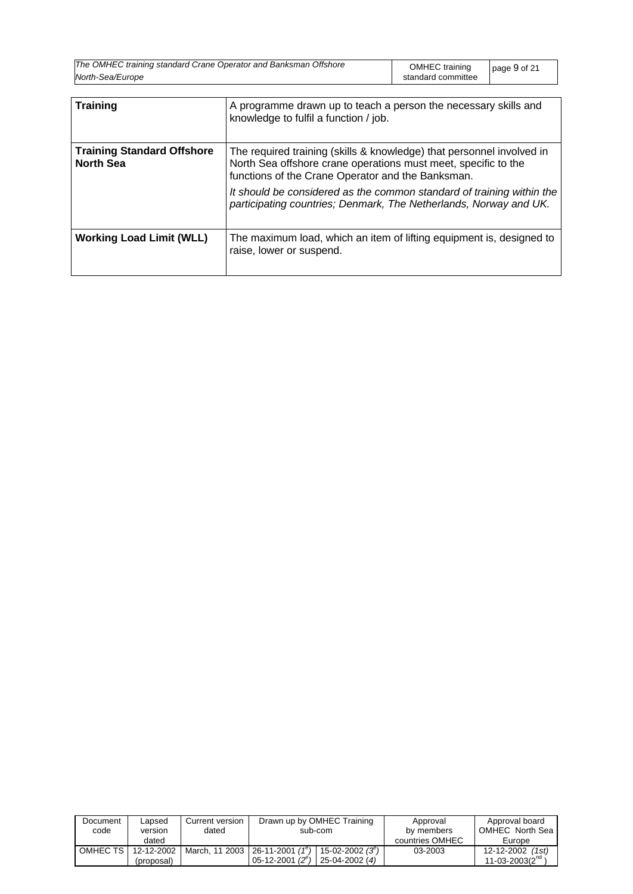| The OMHEC training standard Crane Operator and Banksman Offshore | OMHEC training     | page 9 of 21 |
|------------------------------------------------------------------|--------------------|--------------|
| North-Sea/Europe                                                 | standard committee |              |

| <b>Training</b>                                       | A programme drawn up to teach a person the necessary skills and<br>knowledge to fulfil a function / job.                                                                                                                                                                                                                                   |
|-------------------------------------------------------|--------------------------------------------------------------------------------------------------------------------------------------------------------------------------------------------------------------------------------------------------------------------------------------------------------------------------------------------|
| <b>Training Standard Offshore</b><br><b>North Sea</b> | The required training (skills & knowledge) that personnel involved in<br>North Sea offshore crane operations must meet, specific to the<br>functions of the Crane Operator and the Banksman.<br>It should be considered as the common standard of training within the<br>participating countries; Denmark, The Netherlands, Norway and UK. |
| <b>Working Load Limit (WLL)</b>                       | The maximum load, which an item of lifting equipment is, designed to<br>raise, lower or suspend.                                                                                                                                                                                                                                           |

| Document<br>code | Lapsed<br>version<br>dated | Current version<br>dated | Drawn up by OMHEC Training<br>sub-com                                                            | Approval<br>by members<br>countries OMHEC | Approval board<br>OMHEC North Sea<br>Europe |
|------------------|----------------------------|--------------------------|--------------------------------------------------------------------------------------------------|-------------------------------------------|---------------------------------------------|
| OMHEC TS         | 12-12-2002<br>(proposal)   |                          | March, 11 2003   26-11-2001 $(1^e)$<br>15-02-2002 $(3^e)$<br>$05-12-2001(2^e)$<br>25-04-2002 (4) | 03-2003                                   | 12-12-2002 (1st)<br>11-03-2003 $(2^{nq}$    |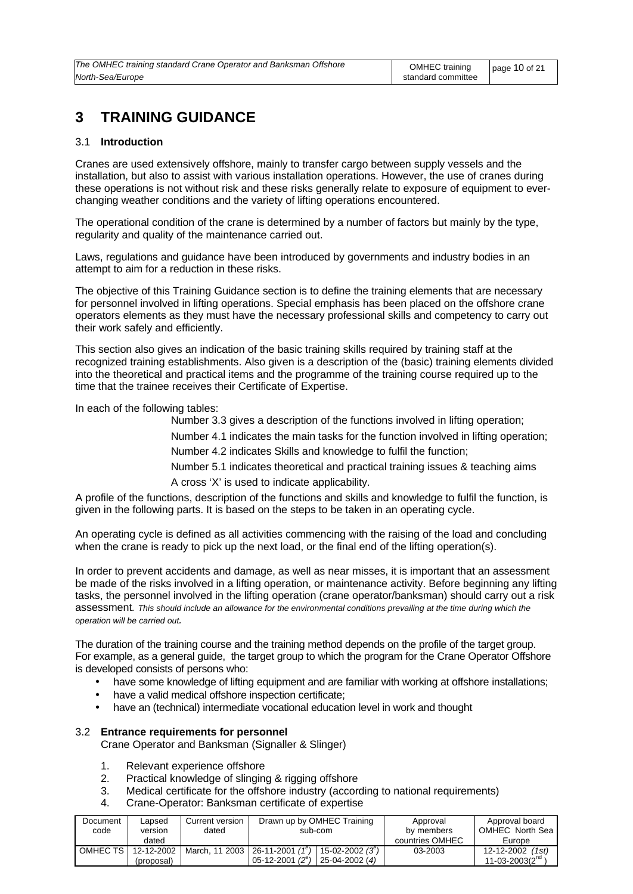### **3 TRAINING GUIDANCE**

### 3.1 **Introduction**

Cranes are used extensively offshore, mainly to transfer cargo between supply vessels and the installation, but also to assist with various installation operations. However, the use of cranes during these operations is not without risk and these risks generally relate to exposure of equipment to everchanging weather conditions and the variety of lifting operations encountered.

The operational condition of the crane is determined by a number of factors but mainly by the type, regularity and quality of the maintenance carried out.

Laws, regulations and guidance have been introduced by governments and industry bodies in an attempt to aim for a reduction in these risks.

The objective of this Training Guidance section is to define the training elements that are necessary for personnel involved in lifting operations. Special emphasis has been placed on the offshore crane operators elements as they must have the necessary professional skills and competency to carry out their work safely and efficiently.

This section also gives an indication of the basic training skills required by training staff at the recognized training establishments. Also given is a description of the (basic) training elements divided into the theoretical and practical items and the programme of the training course required up to the time that the trainee receives their Certificate of Expertise.

In each of the following tables:

Number 3.3 gives a description of the functions involved in lifting operation;

Number 4.1 indicates the main tasks for the function involved in lifting operation;

Number 4.2 indicates Skills and knowledge to fulfil the function;

Number 5.1 indicates theoretical and practical training issues & teaching aims A cross 'X' is used to indicate applicability.

A profile of the functions, description of the functions and skills and knowledge to fulfil the function, is given in the following parts. It is based on the steps to be taken in an operating cycle.

An operating cycle is defined as all activities commencing with the raising of the load and concluding when the crane is ready to pick up the next load, or the final end of the lifting operation(s).

In order to prevent accidents and damage, as well as near misses, it is important that an assessment be made of the risks involved in a lifting operation, or maintenance activity. Before beginning any lifting tasks, the personnel involved in the lifting operation (crane operator/banksman) should carry out a risk assessment*. This should include an allowance for the environmental conditions prevailing at the time during which the operation will be carried out.*

The duration of the training course and the training method depends on the profile of the target group. For example, as a general guide, the target group to which the program for the Crane Operator Offshore is developed consists of persons who:

- have some knowledge of lifting equipment and are familiar with working at offshore installations;
- have a valid medical offshore inspection certificate:
- have an (technical) intermediate vocational education level in work and thought

### 3.2 **Entrance requirements for personnel**

Crane Operator and Banksman (Signaller & Slinger)

- 1. Relevant experience offshore
- 2. Practical knowledge of slinging & rigging offshore
- 3. Medical certificate for the offshore industry (according to national requirements)
- 4. Crane-Operator: Banksman certificate of expertise

| Document | _apsed     | Current version | Drawn up by OMHEC Training           | Approval        | Approval board       |
|----------|------------|-----------------|--------------------------------------|-----------------|----------------------|
| code     | version    | dated           | sub-com                              | by members      | OMHEC North Sea      |
|          | dated      |                 |                                      | countries OMHEC | Europe               |
| OMHEC TS | 12-12-2002 | March, 11 2003  | $126-11-2001(1e)$<br>15-02-2002 (3") | 03-2003         | 12-12-2002<br>(1st)  |
|          | (proposal) |                 | $05-12-2001(2^e)$<br>25-04-2002 (4)  |                 | $11 - 03 - 2003(210$ |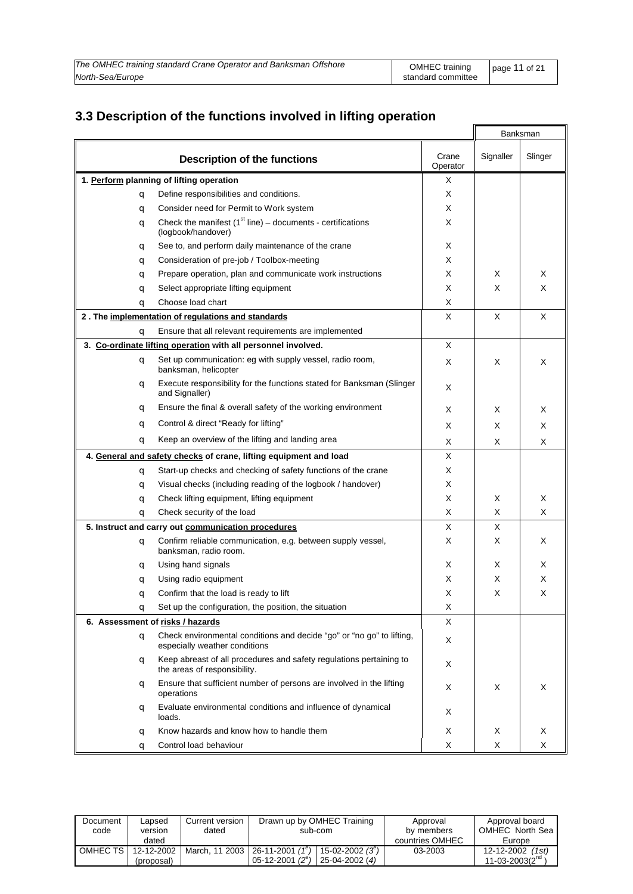| The OMHEC training standard Crane Operator and Banksman Offshore | OMHEC training     | page 11 of 21 |
|------------------------------------------------------------------|--------------------|---------------|
| North-Sea/Europe                                                 | standard committee |               |

 $\overline{\mathbf{a}}$ 

 $\blacksquare$ 

### **3.3 Description of the functions involved in lifting operation**

|   |                                                                                                        |                   |           | Banksman |
|---|--------------------------------------------------------------------------------------------------------|-------------------|-----------|----------|
|   | <b>Description of the functions</b>                                                                    | Crane<br>Operator | Signaller | Slinger  |
|   | 1. Perform planning of lifting operation                                                               | Χ                 |           |          |
| q | Define responsibilities and conditions.                                                                | X                 |           |          |
| q | Consider need for Permit to Work system                                                                | Χ                 |           |          |
| q | Check the manifest $(1st line) - documents - certificates$<br>(logbook/handover)                       | X                 |           |          |
| q | See to, and perform daily maintenance of the crane                                                     | Х                 |           |          |
| q | Consideration of pre-job / Toolbox-meeting                                                             | X                 |           |          |
| q | Prepare operation, plan and communicate work instructions                                              | X                 | X         | X        |
| q | Select appropriate lifting equipment                                                                   | Χ                 | X         | X        |
| q | Choose load chart                                                                                      | X                 |           |          |
|   | 2. The implementation of regulations and standards                                                     | Χ                 | Х         | X        |
| q | Ensure that all relevant requirements are implemented                                                  |                   |           |          |
|   | 3. Co-ordinate lifting operation with all personnel involved.                                          | X                 |           |          |
| q | Set up communication: eg with supply vessel, radio room,<br>banksman, helicopter                       | Χ                 | Х         | X        |
| q | Execute responsibility for the functions stated for Banksman (Slinger<br>and Signaller)                | Х                 |           |          |
| q | Ensure the final & overall safety of the working environment                                           | X                 | X         | X        |
| q | Control & direct "Ready for lifting"                                                                   | X                 | Х         | Х        |
| q | Keep an overview of the lifting and landing area                                                       | X                 | Х         | X        |
|   | 4. General and safety checks of crane, lifting equipment and load                                      | X                 |           |          |
| q | Start-up checks and checking of safety functions of the crane                                          | Χ                 |           |          |
| q | Visual checks (including reading of the logbook / handover)                                            | X                 |           |          |
| q | Check lifting equipment, lifting equipment                                                             | Χ                 | Х         | Х        |
| q | Check security of the load                                                                             | X                 | Х         | X        |
|   | 5. Instruct and carry out communication procedures                                                     | Χ                 | X         |          |
| q | Confirm reliable communication, e.g. between supply vessel,<br>banksman, radio room.                   | X                 | Х         | Х        |
| q | Using hand signals                                                                                     | Х                 | X         | х        |
| q | Using radio equipment                                                                                  | X                 | Х         | X        |
| q | Confirm that the load is ready to lift                                                                 | х                 | X         | X        |
| q | Set up the configuration, the position, the situation                                                  | Χ                 |           |          |
|   | 6. Assessment of risks / hazards                                                                       | Χ                 |           |          |
| q | Check environmental conditions and decide "go" or "no go" to lifting,<br>especially weather conditions | Х                 |           |          |
| q | Keep abreast of all procedures and safety regulations pertaining to<br>the areas of responsibility.    | Χ                 |           |          |
| q | Ensure that sufficient number of persons are involved in the lifting<br>operations                     | Х                 | Х         | Х        |
| q | Evaluate environmental conditions and influence of dynamical<br>loads.                                 | Х                 |           |          |
| q | Know hazards and know how to handle them                                                               | Χ                 | Х         | Х        |
| q | Control load behaviour                                                                                 | Х                 | X         | Х        |

| Document<br>code | Lapsed<br>version | Current version<br>dated | Drawn up by OMHEC Training<br>sub-com                  | Approval<br>by members | Approval board<br>OMHEC North Sea |
|------------------|-------------------|--------------------------|--------------------------------------------------------|------------------------|-----------------------------------|
|                  | dated             |                          |                                                        | countries OMHEC        | Europe                            |
| OMHEC TS I       | 12-12-2002        | March, 11 2003           | $26 - 11 - 2001$ (1 <sup>e</sup> )<br>$15-02-2002(3e)$ | 03-2003                | 12-12-2002<br>(1st)               |
|                  | (proposal)        |                          | 05-12-2001 $(2^e)$<br>25-04-2002 (4)                   |                        | $11 - 03 - 2003(210$              |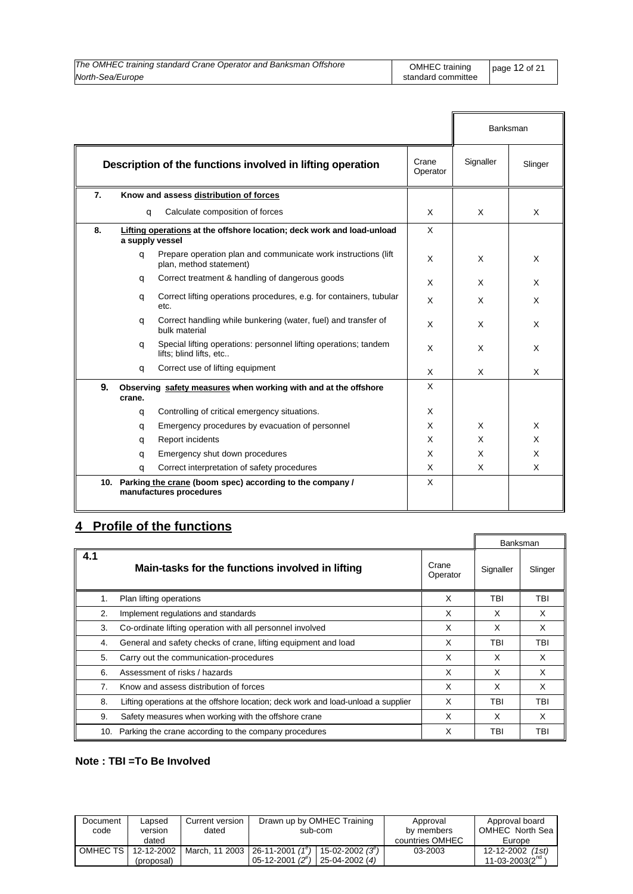| The OMHEC training standard Crane Operator and Banksman Offshore | OMHEC training     | page $12$ of 21 |
|------------------------------------------------------------------|--------------------|-----------------|
| North-Sea/Europe                                                 | standard committee |                 |

|     |                                                                                                  |                                                                                            |                   |           | Banksman |
|-----|--------------------------------------------------------------------------------------------------|--------------------------------------------------------------------------------------------|-------------------|-----------|----------|
|     |                                                                                                  | Description of the functions involved in lifting operation                                 | Crane<br>Operator | Signaller | Slinger  |
| 7.  |                                                                                                  | Know and assess distribution of forces                                                     |                   |           |          |
|     | q                                                                                                | Calculate composition of forces                                                            | X                 | X         |          |
| 8.  | a supply vessel                                                                                  | Lifting operations at the offshore location; deck work and load-unload                     | X                 |           |          |
|     | a                                                                                                | Prepare operation plan and communicate work instructions (lift)<br>plan, method statement) | X                 | X         | X        |
|     | q                                                                                                | Correct treatment & handling of dangerous goods                                            | X                 | X         | X        |
|     | q                                                                                                | Correct lifting operations procedures, e.g. for containers, tubular<br>etc.                | X                 | X         | X        |
|     | q                                                                                                | Correct handling while bunkering (water, fuel) and transfer of<br>bulk material            | X                 | X         | X        |
|     | Special lifting operations: personnel lifting operations; tandem<br>a<br>lifts; blind lifts, etc |                                                                                            | X                 | X         | X        |
|     | q                                                                                                | Correct use of lifting equipment                                                           | X                 | X         | X        |
| 9.  | crane.                                                                                           | Observing safety measures when working with and at the offshore                            | X                 |           |          |
|     | q                                                                                                | Controlling of critical emergency situations.                                              | X                 |           |          |
|     | q                                                                                                | Emergency procedures by evacuation of personnel                                            | X                 | X         | X        |
|     | q                                                                                                | Report incidents                                                                           | X                 | X         | X        |
|     | q                                                                                                | Emergency shut down procedures                                                             | X                 | X         | X        |
|     | q                                                                                                | Correct interpretation of safety procedures                                                | X                 | X         | X        |
| 10. |                                                                                                  | Parking the crane (boom spec) according to the company /<br>manufactures procedures        | X                 |           |          |

### **4 Profile of the functions**

|     |                                                                                   |                   |           | Banksman |
|-----|-----------------------------------------------------------------------------------|-------------------|-----------|----------|
| 4.1 | Main-tasks for the functions involved in lifting                                  | Crane<br>Operator | Signaller | Slinger  |
| 1.  | Plan lifting operations                                                           | X                 | TBI       | TBI      |
| 2.  | Implement regulations and standards                                               | X                 | X         | X        |
| 3.  | Co-ordinate lifting operation with all personnel involved                         | X                 | X         | X        |
| 4.  | General and safety checks of crane, lifting equipment and load                    | X                 | TBI       | TBI      |
| 5.  | Carry out the communication-procedures                                            | X                 | X         | X        |
| 6.  | Assessment of risks / hazards                                                     | X                 | X         | X        |
| 7.  | Know and assess distribution of forces                                            | X                 | X         | X        |
| 8.  | Lifting operations at the offshore location; deck work and load-unload a supplier | X                 | TBI       | TBI      |
| 9.  | Safety measures when working with the offshore crane                              | X                 | X         | X        |
| 10. | Parking the crane according to the company procedures                             | X                 | TBI       | TBI      |

### **Note : TBI =To Be Involved**

| Document<br>code | _apsed<br>version<br>dated | Current version<br>dated | Drawn up by OMHEC Training<br>sub-com                                                                     | Approval<br>by members<br>countries OMHEC | Approval board<br>OMHEC North Sea I<br>Europe |
|------------------|----------------------------|--------------------------|-----------------------------------------------------------------------------------------------------------|-------------------------------------------|-----------------------------------------------|
| OMHEC TS         | 12-12-2002<br>(proposal)   |                          | March, 11 2003   26-11-2001 $(1^e)$<br>$15 - 02 - 2002(3^{\circ})$<br>$05-12-2001(2^e)$<br>25-04-2002 (4) | 03-2003                                   | (1st)<br>12-12-2002<br>$11 - 03 - 2003(211)$  |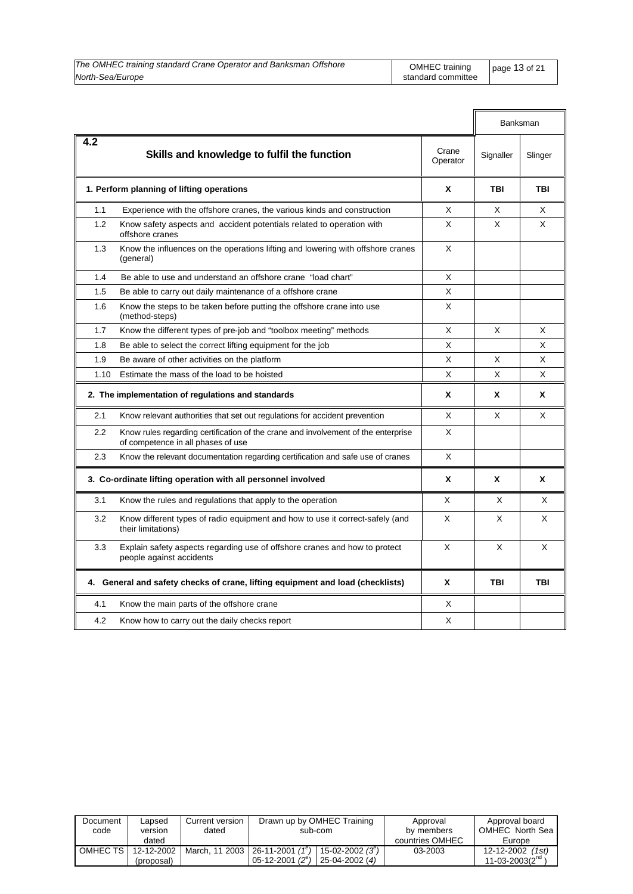| The OMHEC training standard Crane Operator and Banksman Offshore | OMHEC training     | page 13 of 21 |
|------------------------------------------------------------------|--------------------|---------------|
| North-Sea/Europe                                                 | standard committee |               |

|      |                                                                                                                         |                   |           | <b>Banksman</b> |
|------|-------------------------------------------------------------------------------------------------------------------------|-------------------|-----------|-----------------|
| 4.2  | Skills and knowledge to fulfil the function                                                                             | Crane<br>Operator | Signaller | Slinger         |
|      | 1. Perform planning of lifting operations                                                                               | X                 | TBI       | TBI             |
| 1.1  | Experience with the offshore cranes, the various kinds and construction                                                 | X                 | X         | X               |
| 1.2  | Know safety aspects and accident potentials related to operation with<br>offshore cranes                                | X                 | X         | X               |
| 1.3  | Know the influences on the operations lifting and lowering with offshore cranes<br>(general)                            | X                 |           |                 |
| 1.4  | Be able to use and understand an offshore crane "load chart"                                                            | X                 |           |                 |
| 1.5  | Be able to carry out daily maintenance of a offshore crane                                                              | X                 |           |                 |
| 1.6  | Know the steps to be taken before putting the offshore crane into use<br>(method-steps)                                 | Χ                 |           |                 |
| 1.7  | Know the different types of pre-job and "toolbox meeting" methods                                                       | X                 | X         | X               |
| 1.8  | Be able to select the correct lifting equipment for the job                                                             | X                 |           | X               |
| 1.9  | Be aware of other activities on the platform                                                                            | X                 | X         | X               |
| 1.10 | Estimate the mass of the load to be hoisted                                                                             | X                 | Χ         | X               |
|      | 2. The implementation of regulations and standards                                                                      | X                 | x         | X               |
| 2.1  | Know relevant authorities that set out regulations for accident prevention                                              | X                 | X         | X               |
| 2.2  | Know rules regarding certification of the crane and involvement of the enterprise<br>of competence in all phases of use | X                 |           |                 |
| 2.3  | Know the relevant documentation regarding certification and safe use of cranes                                          | X                 |           |                 |
|      | 3. Co-ordinate lifting operation with all personnel involved                                                            | X                 | X         | X               |
| 3.1  | Know the rules and regulations that apply to the operation                                                              | X                 | X         | X               |
| 3.2  | Know different types of radio equipment and how to use it correct-safely (and<br>their limitations)                     | X                 | X         | X               |
| 3.3  | Explain safety aspects regarding use of offshore cranes and how to protect<br>people against accidents                  | X                 | X         | X               |
|      | 4. General and safety checks of crane, lifting equipment and load (checklists)                                          | X                 | TBI       | TBI             |
| 4.1  | Know the main parts of the offshore crane                                                                               | X                 |           |                 |
| 4.2  | Know how to carry out the daily checks report                                                                           | X                 |           |                 |

| Document<br>code | Lapsed<br>version<br>dated | Current version<br>dated | Drawn up by OMHEC Training<br>sub-com                                              | Approval<br>by members<br>countries OMHEC | Approval board<br>OMHEC North Sea<br>Europe |
|------------------|----------------------------|--------------------------|------------------------------------------------------------------------------------|-------------------------------------------|---------------------------------------------|
| OMHEC TS         | 12-12-2002<br>(proposal)   | March. 11 2003           | $26-11-2001(1^e)$<br>15-02-2002 $(3^e)$<br>$05 - 12 - 2001(2^e)$<br>25-04-2002 (4) | 03-2003                                   | 12-12-2002 (1st)<br>11-03-2003 $(2^{nq}$    |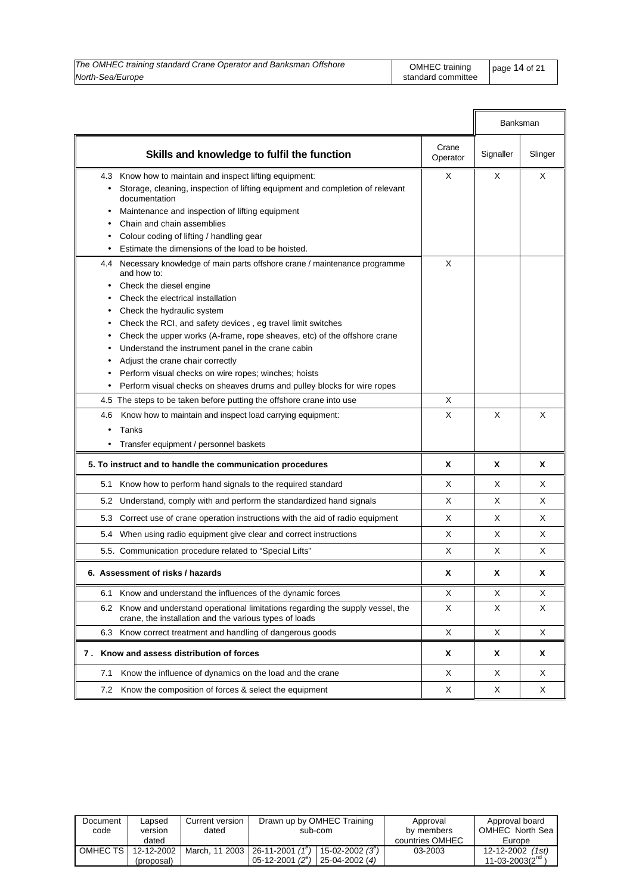| The OMHEC training standard Crane Operator and Banksman Offshore | OMHEC training page 14 of 21 |  |
|------------------------------------------------------------------|------------------------------|--|
| North-Sea/Europe                                                 | standard committee           |  |

|           | Skills and knowledge to fulfil the function                                                                                            | Crane<br>Operator | Signaller | Slinger |
|-----------|----------------------------------------------------------------------------------------------------------------------------------------|-------------------|-----------|---------|
| 4.3       | Know how to maintain and inspect lifting equipment:                                                                                    | X                 | Χ         | X       |
| $\bullet$ | Storage, cleaning, inspection of lifting equipment and completion of relevant                                                          |                   |           |         |
|           | documentation                                                                                                                          |                   |           |         |
| ٠         | Maintenance and inspection of lifting equipment                                                                                        |                   |           |         |
|           | Chain and chain assemblies                                                                                                             |                   |           |         |
|           | Colour coding of lifting / handling gear                                                                                               |                   |           |         |
|           | Estimate the dimensions of the load to be hoisted.                                                                                     |                   |           |         |
|           | 4.4 Necessary knowledge of main parts offshore crane / maintenance programme<br>and how to:                                            | X                 |           |         |
|           | Check the diesel engine                                                                                                                |                   |           |         |
|           | Check the electrical installation                                                                                                      |                   |           |         |
| ٠         | Check the hydraulic system                                                                                                             |                   |           |         |
| ٠         | Check the RCI, and safety devices, eg travel limit switches                                                                            |                   |           |         |
| ٠         | Check the upper works (A-frame, rope sheaves, etc) of the offshore crane                                                               |                   |           |         |
| ٠         | Understand the instrument panel in the crane cabin                                                                                     |                   |           |         |
| ٠         | Adjust the crane chair correctly                                                                                                       |                   |           |         |
| ٠         | Perform visual checks on wire ropes; winches; hoists                                                                                   |                   |           |         |
| $\bullet$ | Perform visual checks on sheaves drums and pulley blocks for wire ropes                                                                |                   |           |         |
|           | 4.5 The steps to be taken before putting the offshore crane into use                                                                   | X                 |           |         |
| 4.6       | Know how to maintain and inspect load carrying equipment:                                                                              | X                 | X         | X       |
| ٠         | Tanks                                                                                                                                  |                   |           |         |
|           | Transfer equipment / personnel baskets                                                                                                 |                   |           |         |
|           | 5. To instruct and to handle the communication procedures                                                                              | X                 | X         | X       |
| 5.1       | Know how to perform hand signals to the required standard                                                                              | X                 | X         | X       |
| 5.2       | Understand, comply with and perform the standardized hand signals                                                                      | X                 | X         | X       |
| 5.3       | Correct use of crane operation instructions with the aid of radio equipment                                                            | X                 | X         | X       |
|           | 5.4 When using radio equipment give clear and correct instructions                                                                     | X                 | X         | X       |
|           | 5.5. Communication procedure related to "Special Lifts"                                                                                | X                 | X         | X       |
|           | 6. Assessment of risks / hazards                                                                                                       | X                 | x         | X       |
| 6.1       | Know and understand the influences of the dynamic forces                                                                               | Χ                 | х         | Χ       |
| 6.2       | Know and understand operational limitations regarding the supply vessel, the<br>crane, the installation and the various types of loads | Χ                 | Χ         | Х       |
|           | 6.3 Know correct treatment and handling of dangerous goods                                                                             | Χ                 | Χ         | Χ       |
| 7.        | Know and assess distribution of forces                                                                                                 | X                 | X         | Χ       |
| 7.1       | Know the influence of dynamics on the load and the crane                                                                               | Χ                 | Χ         | Х       |
| 7.2       | Know the composition of forces & select the equipment                                                                                  | X                 | X         | Х       |

| Document<br>code | Lapsed<br>version<br>dated | Current version<br>dated | Drawn up by OMHEC Training<br>sub-com                                                         | Approval<br>by members<br>countries OMHEC | Approval board<br>OMHEC North Sea<br>Europe |
|------------------|----------------------------|--------------------------|-----------------------------------------------------------------------------------------------|-------------------------------------------|---------------------------------------------|
| OMHEC TS I       | 12-12-2002<br>(proposal)   | March, 11 2003           | $26-11-2001(1^e)$<br>$15 - 02 - 2002(3^{\circ})$<br>05-12-2001 $(2^e)$<br>$25 - 04 - 2002(4)$ | 03-2003                                   | 12-12-2002 (1st)<br>$11 - 03 - 2003(2nd)$   |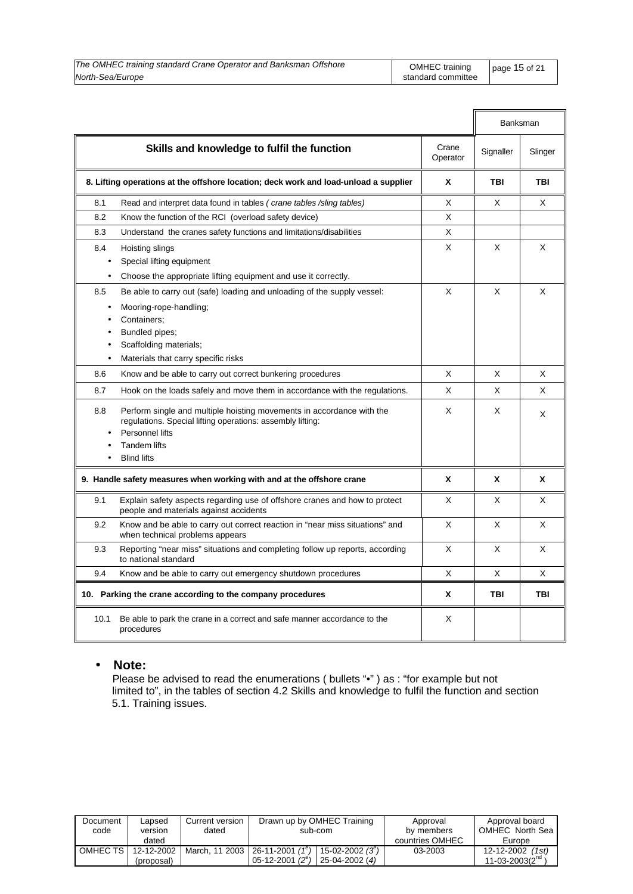| The OMHEC training standard Crane Operator and Banksman Offshore | OMHEC training     | page $15$ of 21 |
|------------------------------------------------------------------|--------------------|-----------------|
| North-Sea/Europe                                                 | standard committee |                 |

|           |                                                                                                                                     |                   | Banksman  |            |
|-----------|-------------------------------------------------------------------------------------------------------------------------------------|-------------------|-----------|------------|
|           | Skills and knowledge to fulfil the function                                                                                         | Crane<br>Operator | Signaller | Slinger    |
|           | 8. Lifting operations at the offshore location; deck work and load-unload a supplier                                                | X                 | TBI       | <b>TBI</b> |
| 8.1       | Read and interpret data found in tables (crane tables /sling tables)                                                                | X                 | X         | X          |
| 8.2       | Know the function of the RCI (overload safety device)                                                                               | X                 |           |            |
| 8.3       | Understand the cranes safety functions and limitations/disabilities                                                                 | X                 |           |            |
| 8.4       | Hoisting slings                                                                                                                     | X                 | X         | X          |
| $\bullet$ | Special lifting equipment                                                                                                           |                   |           |            |
| $\bullet$ | Choose the appropriate lifting equipment and use it correctly.                                                                      |                   |           |            |
| 8.5       | Be able to carry out (safe) loading and unloading of the supply vessel:                                                             | X                 | X         | X          |
| $\bullet$ | Mooring-rope-handling;                                                                                                              |                   |           |            |
| $\bullet$ | Containers;                                                                                                                         |                   |           |            |
| $\bullet$ | Bundled pipes;                                                                                                                      |                   |           |            |
| $\bullet$ | Scaffolding materials;                                                                                                              |                   |           |            |
| $\bullet$ | Materials that carry specific risks                                                                                                 |                   |           |            |
| 8.6       | Know and be able to carry out correct bunkering procedures                                                                          | X                 | X         | X          |
| 8.7       | Hook on the loads safely and move them in accordance with the regulations.                                                          | X                 | X         | X          |
| 8.8       | Perform single and multiple hoisting movements in accordance with the<br>regulations. Special lifting operations: assembly lifting: | X                 | X         | X          |
|           | Personnel lifts                                                                                                                     |                   |           |            |
|           | <b>Tandem lifts</b><br><b>Blind lifts</b>                                                                                           |                   |           |            |
|           |                                                                                                                                     |                   |           |            |
|           | 9. Handle safety measures when working with and at the offshore crane                                                               | X                 | X         | X          |
| 9.1       | Explain safety aspects regarding use of offshore cranes and how to protect<br>people and materials against accidents                | X                 | X         | X          |
| 9.2       | Know and be able to carry out correct reaction in "near miss situations" and<br>when technical problems appears                     | X                 | X         | X          |
| 9.3       | Reporting "near miss" situations and completing follow up reports, according<br>to national standard                                | X                 | X         | X          |
| 9.4       | Know and be able to carry out emergency shutdown procedures                                                                         | X                 | X         | X          |
|           | 10. Parking the crane according to the company procedures                                                                           | X                 | TBI       | <b>TBI</b> |
| 10.1      | Be able to park the crane in a correct and safe manner accordance to the<br>procedures                                              | X                 |           |            |

### • **Note:**

 Please be advised to read the enumerations ( bullets "•" ) as : "for example but not limited to", in the tables of section 4.2 Skills and knowledge to fulfil the function and section 5.1. Training issues.

| Document<br>code | Lapsed<br>version | Current version<br>dated | Drawn up by OMHEC Training<br>sub-com                       |                 | Approval<br>by members | Approval board<br>OMHEC North Sea |
|------------------|-------------------|--------------------------|-------------------------------------------------------------|-----------------|------------------------|-----------------------------------|
|                  | dated             |                          |                                                             |                 | countries OMHEC        | Europe                            |
| OMHEC TS I       | 12-12-2002        | March, 11 2003           | 26-11-2001 (1 <sup>e</sup> )   15-02-2002 (3 <sup>e</sup> ) |                 | 03-2003                | 12-12-2002 (1st)                  |
|                  | (proposal)        |                          | 05-12-2001 $(2^{e})$                                        | $25-04-2002(4)$ |                        | 11-03-2003( $2^{na}$ )            |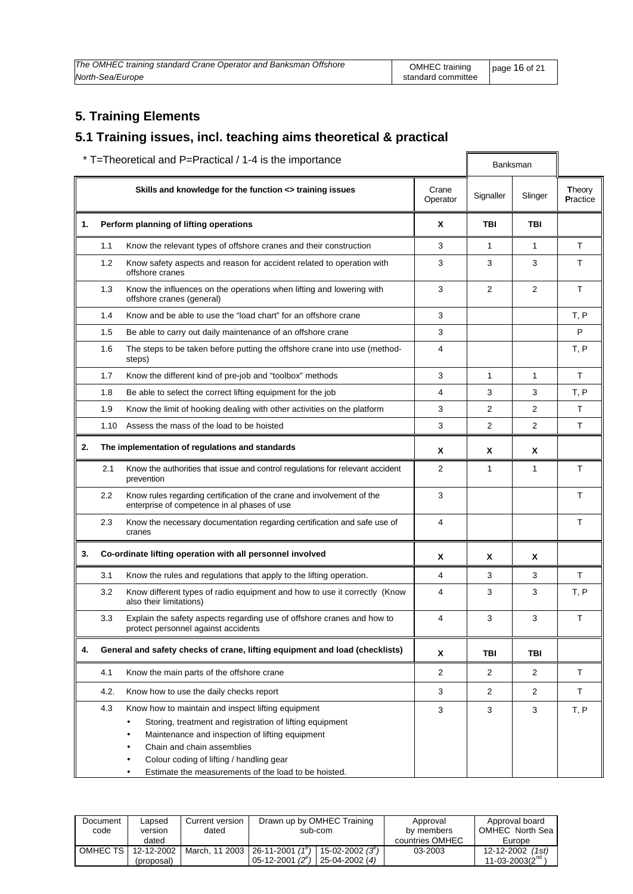| The OMHEC training standard Crane Operator and Banksman Offshore | OMHEC training     | page 16 of 21 |
|------------------------------------------------------------------|--------------------|---------------|
| North-Sea/Europe                                                 | standard committee |               |

### **5. Training Elements**

### **5.1 Training issues, incl. teaching aims theoretical & practical**

| * T=Theoretical and P=Practical / 1-4 is the importance |      |                                                                                                                                                                                                                                                                                                                                                 |                   |                | Banksman       |                           |
|---------------------------------------------------------|------|-------------------------------------------------------------------------------------------------------------------------------------------------------------------------------------------------------------------------------------------------------------------------------------------------------------------------------------------------|-------------------|----------------|----------------|---------------------------|
|                                                         |      | Skills and knowledge for the function <> training issues                                                                                                                                                                                                                                                                                        | Crane<br>Operator | Signaller      | Slinger        | <b>Theory</b><br>Practice |
| 1.                                                      |      | Perform planning of lifting operations                                                                                                                                                                                                                                                                                                          | X                 | TBI            | TBI            |                           |
|                                                         | 1.1  | Know the relevant types of offshore cranes and their construction                                                                                                                                                                                                                                                                               | 3                 | 1              | $\mathbf{1}$   | T                         |
|                                                         | 1.2  | Know safety aspects and reason for accident related to operation with<br>offshore cranes                                                                                                                                                                                                                                                        | 3                 | 3              | 3              | Τ                         |
|                                                         | 1.3  | Know the influences on the operations when lifting and lowering with<br>offshore cranes (general)                                                                                                                                                                                                                                               | 3                 | $\overline{2}$ | 2              | T                         |
|                                                         | 1.4  | Know and be able to use the "load chart" for an offshore crane                                                                                                                                                                                                                                                                                  | 3                 |                |                | T, P                      |
|                                                         | 1.5  | Be able to carry out daily maintenance of an offshore crane                                                                                                                                                                                                                                                                                     | 3                 |                |                | P                         |
|                                                         | 1.6  | The steps to be taken before putting the offshore crane into use (method-<br>steps)                                                                                                                                                                                                                                                             | 4                 |                |                | T, P                      |
|                                                         | 1.7  | Know the different kind of pre-job and "toolbox" methods                                                                                                                                                                                                                                                                                        | 3                 | $\mathbf{1}$   | $\mathbf{1}$   | T                         |
|                                                         | 1.8  | Be able to select the correct lifting equipment for the job                                                                                                                                                                                                                                                                                     | 4                 | 3              | 3              | T, P                      |
|                                                         | 1.9  | Know the limit of hooking dealing with other activities on the platform                                                                                                                                                                                                                                                                         | 3                 | 2              | 2              | T.                        |
|                                                         | 1.10 | Assess the mass of the load to be hoisted                                                                                                                                                                                                                                                                                                       | 3                 | 2              | 2              | T.                        |
| 2.                                                      |      | The implementation of regulations and standards                                                                                                                                                                                                                                                                                                 | X                 | X              | Χ              |                           |
|                                                         | 2.1  | Know the authorities that issue and control regulations for relevant accident<br>prevention                                                                                                                                                                                                                                                     | 2                 | 1              | $\mathbf{1}$   | T                         |
|                                                         | 2.2  | Know rules regarding certification of the crane and involvement of the<br>enterprise of competence in al phases of use                                                                                                                                                                                                                          | 3                 |                |                | T                         |
|                                                         | 2.3  | Know the necessary documentation regarding certification and safe use of<br>cranes                                                                                                                                                                                                                                                              | $\overline{4}$    |                |                | T                         |
| 3.                                                      |      | Co-ordinate lifting operation with all personnel involved                                                                                                                                                                                                                                                                                       | X                 | χ              | X              |                           |
|                                                         | 3.1  | Know the rules and regulations that apply to the lifting operation.                                                                                                                                                                                                                                                                             | 4                 | 3              | 3              | T                         |
|                                                         | 3.2  | Know different types of radio equipment and how to use it correctly (Know<br>also their limitations)                                                                                                                                                                                                                                            | 4                 | 3              | 3              | T, P                      |
|                                                         | 3.3  | Explain the safety aspects regarding use of offshore cranes and how to<br>protect personnel against accidents                                                                                                                                                                                                                                   | 4                 | 3              | 3              | T                         |
| 4.                                                      |      | General and safety checks of crane, lifting equipment and load (checklists)                                                                                                                                                                                                                                                                     | X                 | TBI            | TBI            |                           |
|                                                         | 4.1  | Know the main parts of the offshore crane                                                                                                                                                                                                                                                                                                       | $\overline{2}$    | 2              | $\overline{2}$ | т                         |
|                                                         | 4.2. | Know how to use the daily checks report                                                                                                                                                                                                                                                                                                         | 3                 | $\overline{2}$ | $\overline{2}$ | T                         |
|                                                         | 4.3  | Know how to maintain and inspect lifting equipment<br>Storing, treatment and registration of lifting equipment<br>$\bullet$<br>Maintenance and inspection of lifting equipment<br>$\bullet$<br>Chain and chain assemblies<br>٠<br>Colour coding of lifting / handling gear<br>Estimate the measurements of the load to be hoisted.<br>$\bullet$ | 3                 | 3              | 3              | T, P                      |

| Document<br>code | Lapsed<br>version | Current version<br>dated | Drawn up by OMHEC Training<br>sub-com                    | Approval<br>by members | Approval board<br>OMHEC North Sea |
|------------------|-------------------|--------------------------|----------------------------------------------------------|------------------------|-----------------------------------|
|                  | dated             |                          |                                                          | countries OMHEC        | Europe                            |
| OMHEC TS         | 12-12-2002        | March, 11 2003           | $26 - 11 - 2001$ (1 <sup>e</sup> )<br>15-02-2002 $(3^e)$ | 03-2003                | 12-12-2002 (1st)                  |
|                  | (proposal)        |                          | 05-12-2001 $(2^e)$<br>$25-04-2002(4)$                    |                        | 11-03-2003 $(2^{nq}$              |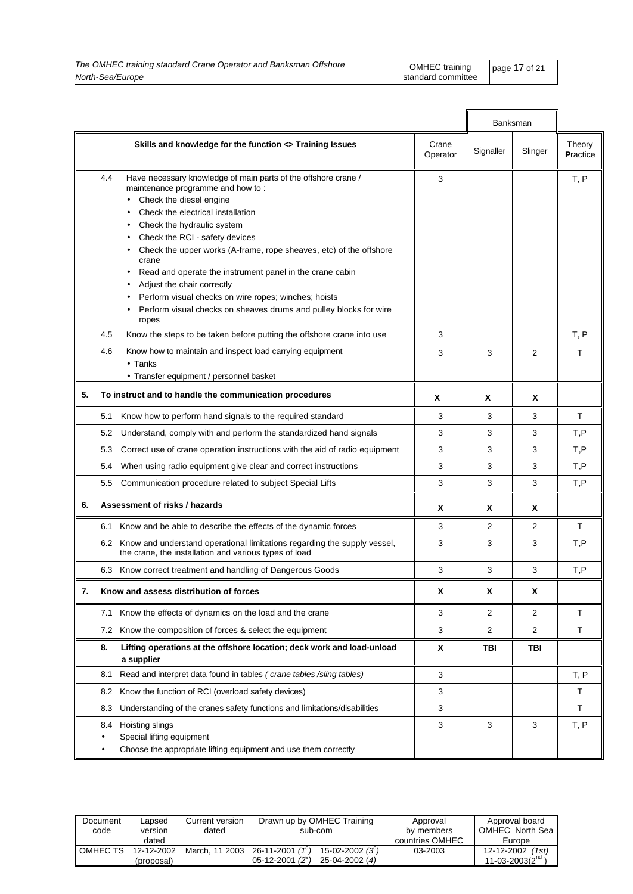| The OMHEC training standard Crane Operator and Banksman Offshore | OMHEC training     | $page 17$ of 21 |
|------------------------------------------------------------------|--------------------|-----------------|
| North-Sea/Europe                                                 | standard committee |                 |

|    |                                                                                                                                                                                                                                                                                                                                                                                                                                                                                                                                                                                                               | Banksman          |           |                |                    |
|----|---------------------------------------------------------------------------------------------------------------------------------------------------------------------------------------------------------------------------------------------------------------------------------------------------------------------------------------------------------------------------------------------------------------------------------------------------------------------------------------------------------------------------------------------------------------------------------------------------------------|-------------------|-----------|----------------|--------------------|
|    | Skills and knowledge for the function <> Training Issues                                                                                                                                                                                                                                                                                                                                                                                                                                                                                                                                                      | Crane<br>Operator | Signaller | Slinger        | Theory<br>Practice |
|    | 4.4<br>Have necessary knowledge of main parts of the offshore crane /<br>maintenance programme and how to:<br>Check the diesel engine<br>Check the electrical installation<br>Check the hydraulic system<br>$\bullet$<br>Check the RCI - safety devices<br>$\bullet$<br>Check the upper works (A-frame, rope sheaves, etc) of the offshore<br>crane<br>Read and operate the instrument panel in the crane cabin<br>$\bullet$<br>Adjust the chair correctly<br>$\bullet$<br>Perform visual checks on wire ropes; winches; hoists<br>Perform visual checks on sheaves drums and pulley blocks for wire<br>ropes | 3                 |           |                | T, P               |
|    | Know the steps to be taken before putting the offshore crane into use<br>4.5                                                                                                                                                                                                                                                                                                                                                                                                                                                                                                                                  | 3                 |           |                | T, P               |
|    | 4.6<br>Know how to maintain and inspect load carrying equipment<br>$\bullet$ Tanks<br>• Transfer equipment / personnel basket                                                                                                                                                                                                                                                                                                                                                                                                                                                                                 | 3                 | 3         | $\overline{2}$ | T                  |
| 5. | To instruct and to handle the communication procedures                                                                                                                                                                                                                                                                                                                                                                                                                                                                                                                                                        | X                 | X         | X              |                    |
|    | 5.1<br>Know how to perform hand signals to the required standard                                                                                                                                                                                                                                                                                                                                                                                                                                                                                                                                              | 3                 | 3         | 3              | $\top$             |
|    | Understand, comply with and perform the standardized hand signals<br>5.2                                                                                                                                                                                                                                                                                                                                                                                                                                                                                                                                      | 3                 | 3         | 3              | T,P                |
|    | Correct use of crane operation instructions with the aid of radio equipment<br>5.3                                                                                                                                                                                                                                                                                                                                                                                                                                                                                                                            | 3                 | 3         | 3              | T, P               |
|    | When using radio equipment give clear and correct instructions<br>5.4                                                                                                                                                                                                                                                                                                                                                                                                                                                                                                                                         | 3                 | 3         | 3              | T,P                |
|    | 5.5 Communication procedure related to subject Special Lifts                                                                                                                                                                                                                                                                                                                                                                                                                                                                                                                                                  | 3                 | 3         | 3              | T,P                |
| 6. | Assessment of risks / hazards                                                                                                                                                                                                                                                                                                                                                                                                                                                                                                                                                                                 | X                 | X         | X              |                    |
|    | 6.1 Know and be able to describe the effects of the dynamic forces                                                                                                                                                                                                                                                                                                                                                                                                                                                                                                                                            | 3                 | 2         | $\overline{2}$ | T                  |
|    | 6.2 Know and understand operational limitations regarding the supply vessel,<br>the crane, the installation and various types of load                                                                                                                                                                                                                                                                                                                                                                                                                                                                         | 3                 | 3         | 3              | T, P               |
|    | 6.3 Know correct treatment and handling of Dangerous Goods                                                                                                                                                                                                                                                                                                                                                                                                                                                                                                                                                    | 3                 | 3         | 3              | T, P               |
| 7. | Know and assess distribution of forces                                                                                                                                                                                                                                                                                                                                                                                                                                                                                                                                                                        | X                 | X         | X              |                    |
|    | Know the effects of dynamics on the load and the crane<br>7.1                                                                                                                                                                                                                                                                                                                                                                                                                                                                                                                                                 | 3                 | 2         | 2              | $\top$             |
|    | 7.2 Know the composition of forces & select the equipment                                                                                                                                                                                                                                                                                                                                                                                                                                                                                                                                                     | 3                 | 2         | 2              | T                  |
|    | Lifting operations at the offshore location; deck work and load-unload<br>8.<br>a supplier                                                                                                                                                                                                                                                                                                                                                                                                                                                                                                                    | X                 | TBI       | TBI            |                    |
|    | Read and interpret data found in tables (crane tables /sling tables)<br>8.1                                                                                                                                                                                                                                                                                                                                                                                                                                                                                                                                   | 3                 |           |                | T, P               |
|    | Know the function of RCI (overload safety devices)<br>8.2                                                                                                                                                                                                                                                                                                                                                                                                                                                                                                                                                     | 3                 |           |                | T                  |
|    | Understanding of the cranes safety functions and limitations/disabilities<br>8.3                                                                                                                                                                                                                                                                                                                                                                                                                                                                                                                              | 3                 |           |                | $\mathsf T$        |
|    | Hoisting slings<br>8.4<br>Special lifting equipment<br>Choose the appropriate lifting equipment and use them correctly<br>٠                                                                                                                                                                                                                                                                                                                                                                                                                                                                                   | 3                 | 3         | 3              | T, P               |

| Document<br>code | Lapsed<br>version<br>dated | Current version<br>dated | Drawn up by OMHEC Training<br>sub-com                                                           | Approval<br>by members<br>countries OMHEC | Approval board<br>OMHEC North Sea<br>Europe |
|------------------|----------------------------|--------------------------|-------------------------------------------------------------------------------------------------|-------------------------------------------|---------------------------------------------|
| OMHEC TS I       | 12-12-2002<br>(proposal)   |                          | March, 11 2003   26-11-2001 $(1^e)$   15-02-2002 $(3^e)$<br>$05-12-2001(2e)$<br>$25-04-2002(4)$ | 03-2003                                   | 12-12-2002 (1st)<br>11-03-2003( $2^{na}$ )  |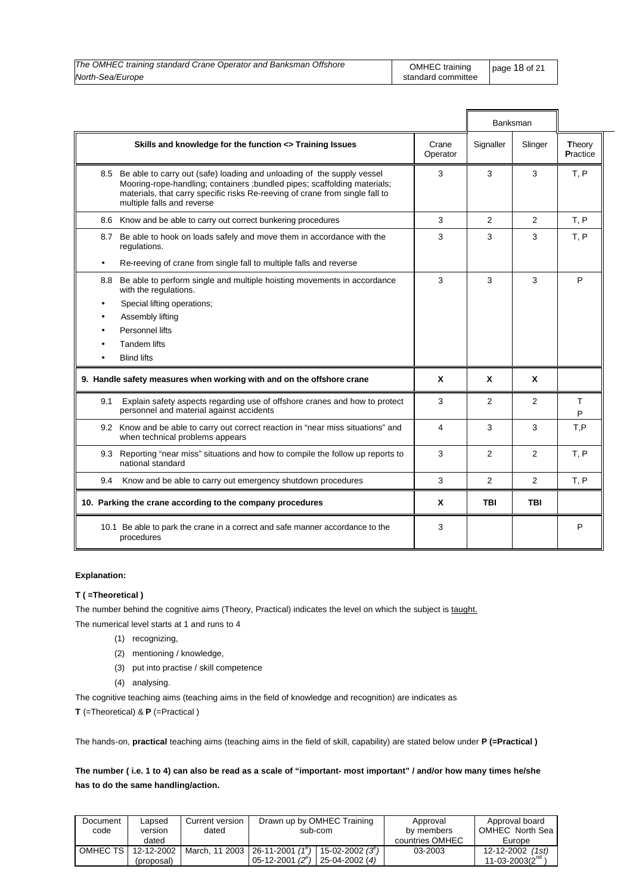| The OMHEC training standard Crane Operator and Banksman Offshore | OMHEC training   page 18 of 21 |  |
|------------------------------------------------------------------|--------------------------------|--|
| North-Sea/Europe                                                 | standard committee             |  |

|           |                                                                                                                                                                                                                                                                       |                   |                | Banksman       |                           |
|-----------|-----------------------------------------------------------------------------------------------------------------------------------------------------------------------------------------------------------------------------------------------------------------------|-------------------|----------------|----------------|---------------------------|
|           | Skills and knowledge for the function <> Training Issues                                                                                                                                                                                                              | Crane<br>Operator | Signaller      | Slinger        | Theory<br><b>Practice</b> |
|           | 8.5 Be able to carry out (safe) loading and unloading of the supply vessel<br>Mooring-rope-handling; containers ; bundled pipes; scaffolding materials;<br>materials, that carry specific risks Re-reeving of crane from single fall to<br>multiple falls and reverse | 3                 | 3              | 3              | T, P                      |
|           | 8.6 Know and be able to carry out correct bunkering procedures                                                                                                                                                                                                        | 3                 | 2              | $\overline{2}$ | T, P                      |
|           | 8.7 Be able to hook on loads safely and move them in accordance with the<br>regulations.                                                                                                                                                                              | 3                 | 3              | 3              | T, P                      |
| $\bullet$ | Re-reeving of crane from single fall to multiple falls and reverse                                                                                                                                                                                                    |                   |                |                |                           |
| 8.8       | Be able to perform single and multiple hoisting movements in accordance<br>with the regulations.                                                                                                                                                                      | 3                 | 3              | 3              | P                         |
| $\bullet$ | Special lifting operations;                                                                                                                                                                                                                                           |                   |                |                |                           |
|           | Assembly lifting                                                                                                                                                                                                                                                      |                   |                |                |                           |
|           | Personnel lifts                                                                                                                                                                                                                                                       |                   |                |                |                           |
|           | <b>Tandem lifts</b>                                                                                                                                                                                                                                                   |                   |                |                |                           |
|           | <b>Blind lifts</b>                                                                                                                                                                                                                                                    |                   |                |                |                           |
|           | 9. Handle safety measures when working with and on the offshore crane                                                                                                                                                                                                 | X                 | X              | X              |                           |
| 9.1       | Explain safety aspects regarding use of offshore cranes and how to protect<br>personnel and material against accidents                                                                                                                                                | 3                 | $\overline{2}$ | 2              | $\top$<br>P               |
|           | 9.2 Know and be able to carry out correct reaction in "near miss situations" and<br>when technical problems appears                                                                                                                                                   | 4                 | 3              | 3              | T,P                       |
|           | 9.3 Reporting "near miss" situations and how to compile the follow up reports to<br>national standard                                                                                                                                                                 | 3                 | $\overline{2}$ | 2              | T, P                      |
| 9.4       | Know and be able to carry out emergency shutdown procedures                                                                                                                                                                                                           | 3                 | 2              | $\overline{2}$ | T, P                      |
|           | 10. Parking the crane according to the company procedures                                                                                                                                                                                                             | X                 | TBI            | TBI            |                           |
|           | 10.1 Be able to park the crane in a correct and safe manner accordance to the<br>procedures                                                                                                                                                                           | 3                 |                |                | P                         |

#### **Explanation:**

#### **T ( =Theoretical )**

The number behind the cognitive aims (Theory, Practical) indicates the level on which the subject is taught.

The numerical level starts at 1 and runs to 4

- (1) recognizing,
- (2) mentioning / knowledge,
- (3) put into practise / skill competence
- (4) analysing.

The cognitive teaching aims (teaching aims in the field of knowledge and recognition) are indicates as

**T** (=Theoretical) & **P** (=Practical )

The hands-on, **practical** teaching aims (teaching aims in the field of skill, capability) are stated below under **P (=Practical )**

**The number ( i.e. 1 to 4) can also be read as a scale of "important- most important" / and/or how many times he/she has to do the same handling/action.** 

| Document<br>code | Lapsed<br>version | Current version<br>dated | Drawn up by OMHEC Training<br>sub-com                    |  | Approval<br>by members | Approval board<br>OMHEC North Sea |
|------------------|-------------------|--------------------------|----------------------------------------------------------|--|------------------------|-----------------------------------|
|                  | dated             |                          |                                                          |  | countries OMHEC        | Europe                            |
| OMHEC TS         | 12-12-2002        |                          | March, 11 2003   26-11-2001 $(1^e)$  <br>15-02-2002 (3") |  | 03-2003                | 12-12-2002<br>(1st)               |
|                  | (proposal)        |                          | $05-12-2001(2^e)$<br>25-04-2002 (4)                      |  |                        | 11-03-2003 $(2^{nq}$              |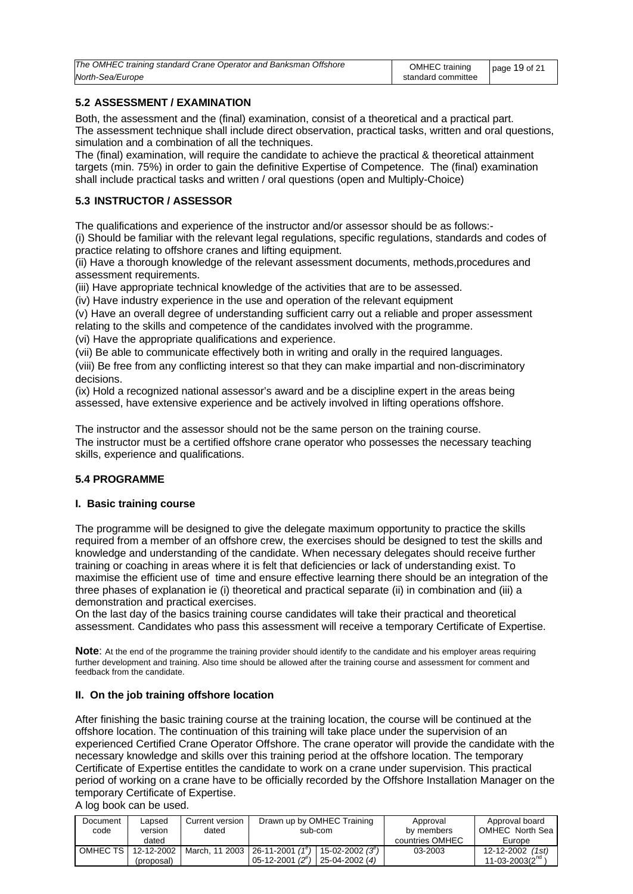| The OMHEC training standard Crane Operator and Banksman Offshore | OMHEC training     | page 19 of 21 |
|------------------------------------------------------------------|--------------------|---------------|
| North-Sea/Europe                                                 | standard committee |               |

### **5.2 ASSESSMENT / EXAMINATION**

Both, the assessment and the (final) examination, consist of a theoretical and a practical part. The assessment technique shall include direct observation, practical tasks, written and oral questions, simulation and a combination of all the techniques.

The (final) examination, will require the candidate to achieve the practical & theoretical attainment targets (min. 75%) in order to gain the definitive Expertise of Competence. The (final) examination shall include practical tasks and written / oral questions (open and Multiply-Choice)

### **5.3 INSTRUCTOR / ASSESSOR**

The qualifications and experience of the instructor and/or assessor should be as follows:-

(i) Should be familiar with the relevant legal regulations, specific regulations, standards and codes of practice relating to offshore cranes and lifting equipment.

(ii) Have a thorough knowledge of the relevant assessment documents, methods,procedures and assessment requirements.

(iii) Have appropriate technical knowledge of the activities that are to be assessed.

(iv) Have industry experience in the use and operation of the relevant equipment

(v) Have an overall degree of understanding sufficient carry out a reliable and proper assessment relating to the skills and competence of the candidates involved with the programme.

(vi) Have the appropriate qualifications and experience.

(vii) Be able to communicate effectively both in writing and orally in the required languages.

(viii) Be free from any conflicting interest so that they can make impartial and non-discriminatory decisions.

(ix) Hold a recognized national assessor's award and be a discipline expert in the areas being assessed, have extensive experience and be actively involved in lifting operations offshore.

The instructor and the assessor should not be the same person on the training course. The instructor must be a certified offshore crane operator who possesses the necessary teaching skills, experience and qualifications.

### **5.4 PROGRAMME**

### **I. Basic training course**

The programme will be designed to give the delegate maximum opportunity to practice the skills required from a member of an offshore crew, the exercises should be designed to test the skills and knowledge and understanding of the candidate. When necessary delegates should receive further training or coaching in areas where it is felt that deficiencies or lack of understanding exist. To maximise the efficient use of time and ensure effective learning there should be an integration of the three phases of explanation ie (i) theoretical and practical separate (ii) in combination and (iii) a demonstration and practical exercises.

On the last day of the basics training course candidates will take their practical and theoretical assessment. Candidates who pass this assessment will receive a temporary Certificate of Expertise.

**Note**: At the end of the programme the training provider should identify to the candidate and his employer areas requiring further development and training. Also time should be allowed after the training course and assessment for comment and feedback from the candidate.

### **II. On the job training offshore location**

After finishing the basic training course at the training location, the course will be continued at the offshore location. The continuation of this training will take place under the supervision of an experienced Certified Crane Operator Offshore. The crane operator will provide the candidate with the necessary knowledge and skills over this training period at the offshore location. The temporary Certificate of Expertise entitles the candidate to work on a crane under supervision. This practical period of working on a crane have to be officially recorded by the Offshore Installation Manager on the temporary Certificate of Expertise.

### A log book can be used.

| Document | Lapsed     | Current version | Drawn up by OMHEC Training                               | Approval        | Approval board       |
|----------|------------|-----------------|----------------------------------------------------------|-----------------|----------------------|
| code     | version    | dated           | sub-com                                                  | by members      | OMHEC North Sea      |
|          | dated      |                 |                                                          | countries OMHEC | Europe               |
| OMHEC TS | 12-12-2002 |                 | March, 11 2003   26-11-2001 $(1^e)$   15-02-2002 $(3^e)$ | 03-2003         | 12-12-2002 (1st)     |
|          | (proposal) |                 | 05-12-2001 $(2^{e})$<br>$25-04-2002(4)$                  |                 | 11-03-2003 $(2^{nq}$ |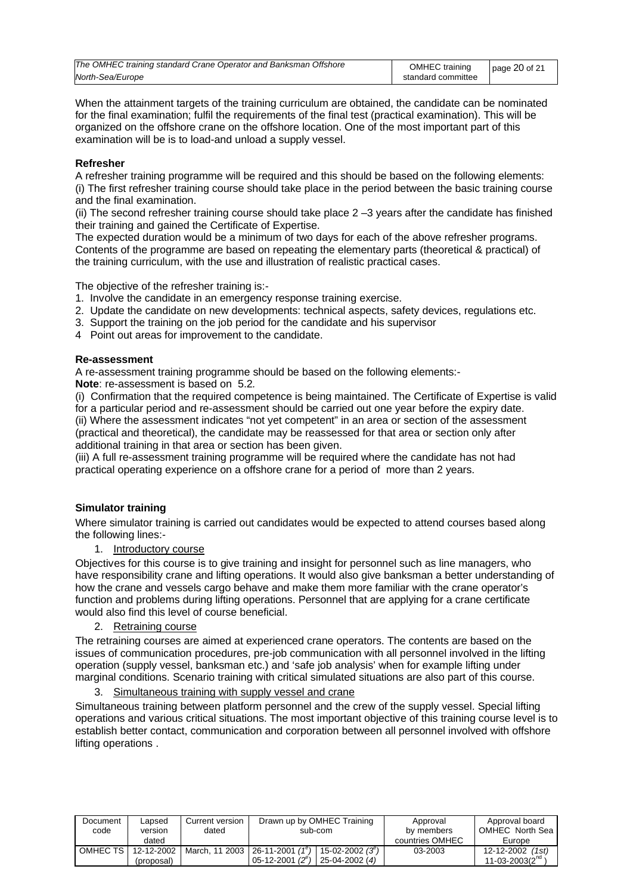| The OMHEC training standard Crane Operator and Banksman Offshore | OMHEC training     | page $20$ of 21 |
|------------------------------------------------------------------|--------------------|-----------------|
| North-Sea/Europe                                                 | standard committee |                 |

When the attainment targets of the training curriculum are obtained, the candidate can be nominated for the final examination; fulfil the requirements of the final test (practical examination). This will be organized on the offshore crane on the offshore location. One of the most important part of this examination will be is to load-and unload a supply vessel.

### **Refresher**

A refresher training programme will be required and this should be based on the following elements: (i) The first refresher training course should take place in the period between the basic training course and the final examination.

(ii) The second refresher training course should take place 2 –3 years after the candidate has finished their training and gained the Certificate of Expertise.

The expected duration would be a minimum of two days for each of the above refresher programs. Contents of the programme are based on repeating the elementary parts (theoretical & practical) of the training curriculum, with the use and illustration of realistic practical cases.

The objective of the refresher training is:-

- 1. Involve the candidate in an emergency response training exercise.
- 2. Update the candidate on new developments: technical aspects, safety devices, regulations etc.
- 3. Support the training on the job period for the candidate and his supervisor
- 4 Point out areas for improvement to the candidate.

### **Re-assessment**

A re-assessment training programme should be based on the following elements:- **Note**: re-assessment is based on 5.2*.*

(i) Confirmation that the required competence is being maintained. The Certificate of Expertise is valid for a particular period and re-assessment should be carried out one year before the expiry date.

(ii) Where the assessment indicates "not yet competent" in an area or section of the assessment (practical and theoretical), the candidate may be reassessed for that area or section only after additional training in that area or section has been given.

(iii) A full re-assessment training programme will be required where the candidate has not had practical operating experience on a offshore crane for a period of more than 2 years.

### **Simulator training**

Where simulator training is carried out candidates would be expected to attend courses based along the following lines:-

1. Introductory course

Objectives for this course is to give training and insight for personnel such as line managers, who have responsibility crane and lifting operations. It would also give banksman a better understanding of how the crane and vessels cargo behave and make them more familiar with the crane operator's function and problems during lifting operations. Personnel that are applying for a crane certificate would also find this level of course beneficial.

2. Retraining course

The retraining courses are aimed at experienced crane operators. The contents are based on the issues of communication procedures, pre-job communication with all personnel involved in the lifting operation (supply vessel, banksman etc.) and 'safe job analysis' when for example lifting under marginal conditions. Scenario training with critical simulated situations are also part of this course.

3. Simultaneous training with supply vessel and crane

Simultaneous training between platform personnel and the crew of the supply vessel. Special lifting operations and various critical situations. The most important objective of this training course level is to establish better contact, communication and corporation between all personnel involved with offshore lifting operations .

| Document | Lapsed     | Current version | Drawn up by OMHEC Training                                         | Approval        | Approval board       |
|----------|------------|-----------------|--------------------------------------------------------------------|-----------------|----------------------|
| code     | version    | dated           | sub-com                                                            | by members      | OMHEC North Sea      |
|          | dated      |                 |                                                                    | countries OMHEC | Europe               |
| OMHEC TS | 12-12-2002 |                 | March, 11 2003   26-11-2001 $(1^e)$<br>$15 - 02 - 2002(3^{\circ})$ | 03-2003         | 12-12-2002<br>(1st)  |
|          | (proposal) |                 | $05-12-2001(2^e)$<br>25-04-2002 (4)                                |                 | $11 - 03 - 2003(2na$ |